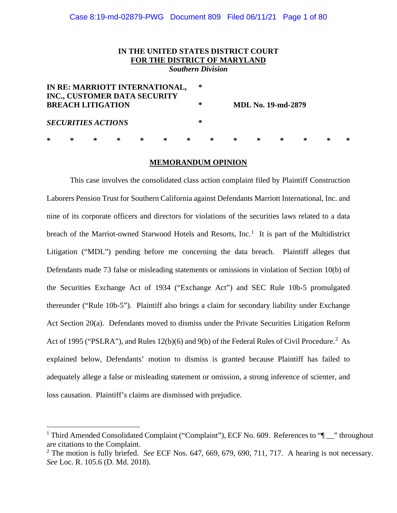# Case 8:19-md-02879-PWG Document 809 Filed 06/11/21 Page 1 of 80

# **IN THE UNITED STATES DISTRICT COURT FOR THE DISTRICT OF MARYLAND**

*Southern Division*

| IN RE: MARRIOTT INTERNATIONAL,<br>INC., CUSTOMER DATA SECURITY |   |   |   |   |   |   |   | ∗ |   |                           |   |  |   |   |   |  |
|----------------------------------------------------------------|---|---|---|---|---|---|---|---|---|---------------------------|---|--|---|---|---|--|
| <b>BREACH LITIGATION</b>                                       |   |   |   |   |   |   | ∗ |   |   | <b>MDL No. 19-md-2879</b> |   |  |   |   |   |  |
| <i>SECURITIES ACTIONS</i>                                      |   |   |   |   |   |   | ∗ |   |   |                           |   |  |   |   |   |  |
| ∗                                                              | ∗ | ∗ | ∗ | ∗ | ∗ | ∗ |   | ∗ | ∗ | ∗                         | ∗ |  | ∗ | ∗ | ∗ |  |

#### **MEMORANDUM OPINION**

This case involves the consolidated class action complaint filed by Plaintiff Construction Laborers Pension Trust for Southern California against Defendants Marriott International, Inc. and nine of its corporate officers and directors for violations of the securities laws related to a data breach of the Marriot-owned Starwood Hotels and Resorts, Inc.<sup>1</sup> It is part of the Multidistrict Litigation ("MDL") pending before me concerning the data breach. Plaintiff alleges that Defendants made 73 false or misleading statements or omissions in violation of Section 10(b) of the Securities Exchange Act of 1934 ("Exchange Act") and SEC Rule 10b-5 promulgated thereunder ("Rule 10b-5"). Plaintiff also brings a claim for secondary liability under Exchange Act Section 20(a). Defendants moved to dismiss under the Private Securities Litigation Reform Act of 1995 ("PSLRA"), and Rules 12(b)(6) and 9(b) of the Federal Rules of Civil Procedure.<sup>2</sup> As explained below, Defendants' motion to dismiss is granted because Plaintiff has failed to adequately allege a false or misleading statement or omission, a strong inference of scienter, and loss causation. Plaintiff's claims are dismissed with prejudice.

<sup>&</sup>lt;sup>1</sup> Third Amended Consolidated Complaint ("Complaint"), ECF No. 609. References to " $\blacksquare$  " throughout are citations to the Complaint.

<sup>2</sup> The motion is fully briefed. *See* ECF Nos. 647, 669, 679, 690, 711, 717. A hearing is not necessary. *See* Loc. R. 105.6 (D. Md. 2018).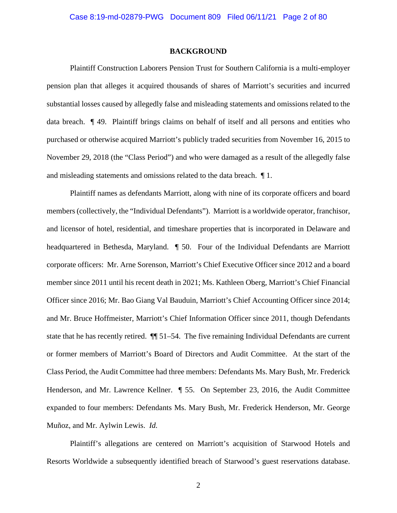#### **BACKGROUND**

Plaintiff Construction Laborers Pension Trust for Southern California is a multi-employer pension plan that alleges it acquired thousands of shares of Marriott's securities and incurred substantial losses caused by allegedly false and misleading statements and omissions related to the data breach. ¶ 49. Plaintiff brings claims on behalf of itself and all persons and entities who purchased or otherwise acquired Marriott's publicly traded securities from November 16, 2015 to November 29, 2018 (the "Class Period") and who were damaged as a result of the allegedly false and misleading statements and omissions related to the data breach. ¶ 1.

Plaintiff names as defendants Marriott, along with nine of its corporate officers and board members (collectively, the "Individual Defendants"). Marriott is a worldwide operator, franchisor, and licensor of hotel, residential, and timeshare properties that is incorporated in Delaware and headquartered in Bethesda, Maryland. ¶ 50. Four of the Individual Defendants are Marriott corporate officers: Mr. Arne Sorenson, Marriott's Chief Executive Officer since 2012 and a board member since 2011 until his recent death in 2021; Ms. Kathleen Oberg, Marriott's Chief Financial Officer since 2016; Mr. Bao Giang Val Bauduin, Marriott's Chief Accounting Officer since 2014; and Mr. Bruce Hoffmeister, Marriott's Chief Information Officer since 2011, though Defendants state that he has recently retired. ¶¶ 51–54. The five remaining Individual Defendants are current or former members of Marriott's Board of Directors and Audit Committee. At the start of the Class Period, the Audit Committee had three members: Defendants Ms. Mary Bush, Mr. Frederick Henderson, and Mr. Lawrence Kellner. ¶ 55. On September 23, 2016, the Audit Committee expanded to four members: Defendants Ms. Mary Bush, Mr. Frederick Henderson, Mr. George Muñoz, and Mr. Aylwin Lewis. *Id.*

Plaintiff's allegations are centered on Marriott's acquisition of Starwood Hotels and Resorts Worldwide a subsequently identified breach of Starwood's guest reservations database.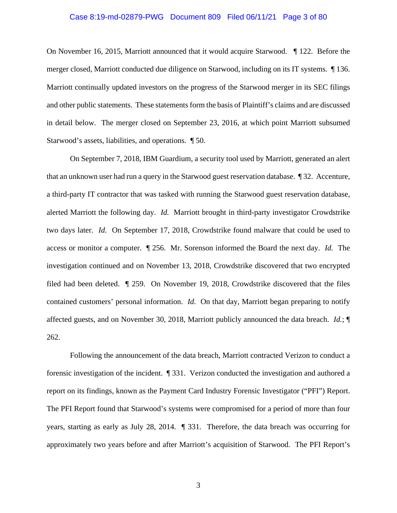## Case 8:19-md-02879-PWG Document 809 Filed 06/11/21 Page 3 of 80

On November 16, 2015, Marriott announced that it would acquire Starwood. ¶ 122. Before the merger closed, Marriott conducted due diligence on Starwood, including on its IT systems. ¶ 136. Marriott continually updated investors on the progress of the Starwood merger in its SEC filings and other public statements. These statements form the basis of Plaintiff's claims and are discussed in detail below. The merger closed on September 23, 2016, at which point Marriott subsumed Starwood's assets, liabilities, and operations. ¶ 50.

On September 7, 2018, IBM Guardium, a security tool used by Marriott, generated an alert that an unknown user had run a query in the Starwood guest reservation database. ¶ 32. Accenture, a third-party IT contractor that was tasked with running the Starwood guest reservation database, alerted Marriott the following day. *Id.* Marriott brought in third-party investigator Crowdstrike two days later. *Id.* On September 17, 2018, Crowdstrike found malware that could be used to access or monitor a computer. ¶ 256. Mr. Sorenson informed the Board the next day. *Id.* The investigation continued and on November 13, 2018, Crowdstrike discovered that two encrypted filed had been deleted. ¶ 259. On November 19, 2018, Crowdstrike discovered that the files contained customers' personal information. *Id.* On that day, Marriott began preparing to notify affected guests, and on November 30, 2018, Marriott publicly announced the data breach. *Id.*; ¶ 262.

Following the announcement of the data breach, Marriott contracted Verizon to conduct a forensic investigation of the incident. ¶ 331. Verizon conducted the investigation and authored a report on its findings, known as the Payment Card Industry Forensic Investigator ("PFI") Report. The PFI Report found that Starwood's systems were compromised for a period of more than four years, starting as early as July 28, 2014. ¶ 331. Therefore, the data breach was occurring for approximately two years before and after Marriott's acquisition of Starwood. The PFI Report's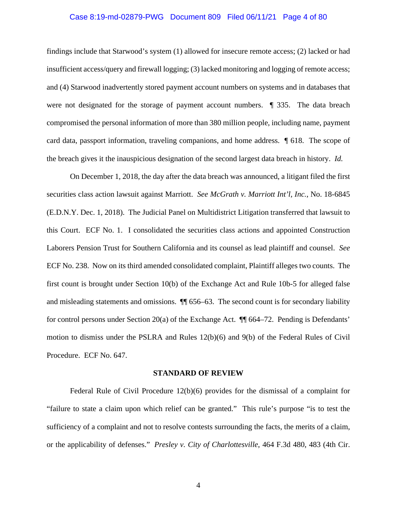# Case 8:19-md-02879-PWG Document 809 Filed 06/11/21 Page 4 of 80

findings include that Starwood's system (1) allowed for insecure remote access; (2) lacked or had insufficient access/query and firewall logging; (3) lacked monitoring and logging of remote access; and (4) Starwood inadvertently stored payment account numbers on systems and in databases that were not designated for the storage of payment account numbers. ¶ 335. The data breach compromised the personal information of more than 380 million people, including name, payment card data, passport information, traveling companions, and home address. ¶ 618. The scope of the breach gives it the inauspicious designation of the second largest data breach in history. *Id.*

On December 1, 2018, the day after the data breach was announced, a litigant filed the first securities class action lawsuit against Marriott. *See McGrath v. Marriott Int'l, Inc.*, No. 18-6845 (E.D.N.Y. Dec. 1, 2018). The Judicial Panel on Multidistrict Litigation transferred that lawsuit to this Court. ECF No. 1. I consolidated the securities class actions and appointed Construction Laborers Pension Trust for Southern California and its counsel as lead plaintiff and counsel. *See* ECF No. 238. Now on its third amended consolidated complaint, Plaintiff alleges two counts. The first count is brought under Section 10(b) of the Exchange Act and Rule 10b-5 for alleged false and misleading statements and omissions. ¶¶ 656–63. The second count is for secondary liability for control persons under Section 20(a) of the Exchange Act. ¶¶ 664–72. Pending is Defendants' motion to dismiss under the PSLRA and Rules 12(b)(6) and 9(b) of the Federal Rules of Civil Procedure. ECF No. 647.

#### **STANDARD OF REVIEW**

Federal Rule of Civil Procedure 12(b)(6) provides for the dismissal of a complaint for "failure to state a claim upon which relief can be granted." This rule's purpose "is to test the sufficiency of a complaint and not to resolve contests surrounding the facts, the merits of a claim, or the applicability of defenses." *Presley v. City of Charlottesville*, 464 F.3d 480, 483 (4th Cir.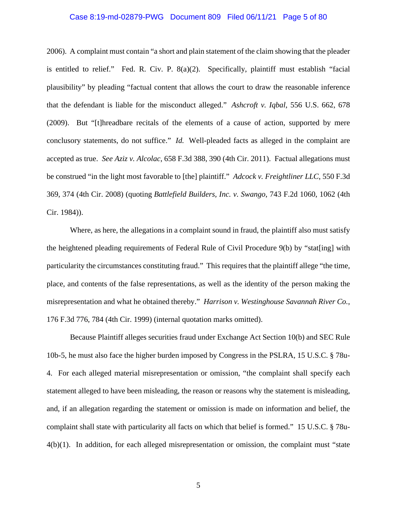### Case 8:19-md-02879-PWG Document 809 Filed 06/11/21 Page 5 of 80

2006). A complaint must contain "a short and plain statement of the claim showing that the pleader is entitled to relief." Fed. R. Civ. P. 8(a)(2). Specifically, plaintiff must establish "facial plausibility" by pleading "factual content that allows the court to draw the reasonable inference that the defendant is liable for the misconduct alleged." *Ashcroft v. Iqbal*, 556 U.S. 662, 678 (2009). But "[t]hreadbare recitals of the elements of a cause of action, supported by mere conclusory statements, do not suffice." *Id.* Well-pleaded facts as alleged in the complaint are accepted as true. *See Aziz v. Alcolac*, 658 F.3d 388, 390 (4th Cir. 2011). Factual allegations must be construed "in the light most favorable to [the] plaintiff." *Adcock v. Freightliner LLC*, 550 F.3d 369, 374 (4th Cir. 2008) (quoting *Battlefield Builders, Inc. v. Swango*, 743 F.2d 1060, 1062 (4th Cir. 1984)).

Where, as here, the allegations in a complaint sound in fraud, the plaintiff also must satisfy the heightened pleading requirements of Federal Rule of Civil Procedure 9(b) by "stat[ing] with particularity the circumstances constituting fraud." This requires that the plaintiff allege "the time, place, and contents of the false representations, as well as the identity of the person making the misrepresentation and what he obtained thereby." *Harrison v. Westinghouse Savannah River Co.*, 176 F.3d 776, 784 (4th Cir. 1999) (internal quotation marks omitted).

Because Plaintiff alleges securities fraud under Exchange Act Section 10(b) and SEC Rule 10b-5, he must also face the higher burden imposed by Congress in the PSLRA, 15 U.S.C. § 78u-4. For each alleged material misrepresentation or omission, "the complaint shall specify each statement alleged to have been misleading, the reason or reasons why the statement is misleading, and, if an allegation regarding the statement or omission is made on information and belief, the complaint shall state with particularity all facts on which that belief is formed." 15 U.S.C. § 78u- $4(b)(1)$ . In addition, for each alleged misrepresentation or omission, the complaint must "state"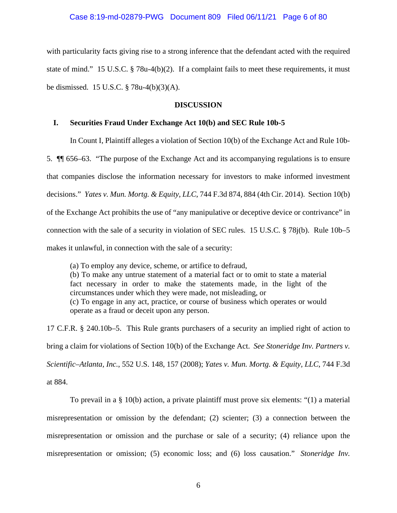with particularity facts giving rise to a strong inference that the defendant acted with the required state of mind." 15 U.S.C. § 78u-4(b)(2). If a complaint fails to meet these requirements, it must be dismissed. 15 U.S.C. § 78u-4(b)(3)(A).

# **DISCUSSION**

# **I. Securities Fraud Under Exchange Act 10(b) and SEC Rule 10b-5**

In Count I, Plaintiff alleges a violation of Section 10(b) of the Exchange Act and Rule 10b-

5. ¶¶ 656–63. "The purpose of the Exchange Act and its accompanying regulations is to ensure that companies disclose the information necessary for investors to make informed investment decisions." *Yates v. Mun. Mortg. & Equity, LLC*, 744 F.3d 874, 884 (4th Cir. 2014). Section 10(b) of the Exchange Act prohibits the use of "any manipulative or deceptive device or contrivance" in connection with the sale of a security in violation of SEC rules. 15 U.S.C. § 78j(b). Rule 10b–5 makes it unlawful, in connection with the sale of a security:

(a) To employ any device, scheme, or artifice to defraud, (b) To make any untrue statement of a material fact or to omit to state a material fact necessary in order to make the statements made, in the light of the circumstances under which they were made, not misleading, or (c) To engage in any act, practice, or course of business which operates or would operate as a fraud or deceit upon any person.

17 C.F.R. § 240.10b–5. This Rule grants purchasers of a security an implied right of action to bring a claim for violations of Section 10(b) of the Exchange Act. *See Stoneridge Inv. Partners v. Scientific–Atlanta, Inc.*, 552 U.S. 148, 157 (2008); *Yates v. Mun. Mortg. & Equity, LLC*, 744 F.3d at 884.

To prevail in a § 10(b) action, a private plaintiff must prove six elements: "(1) a material misrepresentation or omission by the defendant; (2) scienter; (3) a connection between the misrepresentation or omission and the purchase or sale of a security; (4) reliance upon the misrepresentation or omission; (5) economic loss; and (6) loss causation." *Stoneridge Inv.*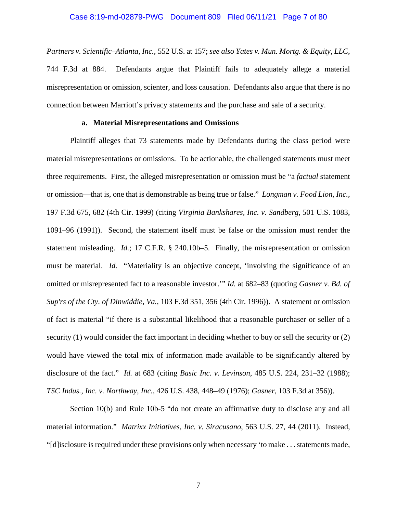#### Case 8:19-md-02879-PWG Document 809 Filed 06/11/21 Page 7 of 80

*Partners v. Scientific–Atlanta, Inc.*, 552 U.S. at 157; *see also Yates v. Mun. Mortg. & Equity, LLC*, 744 F.3d at 884. Defendants argue that Plaintiff fails to adequately allege a material misrepresentation or omission, scienter, and loss causation. Defendants also argue that there is no connection between Marriott's privacy statements and the purchase and sale of a security.

# **a. Material Misrepresentations and Omissions**

Plaintiff alleges that 73 statements made by Defendants during the class period were material misrepresentations or omissions. To be actionable, the challenged statements must meet three requirements. First, the alleged misrepresentation or omission must be "a *factual* statement or omission—that is, one that is demonstrable as being true or false." *Longman v. Food Lion, Inc.*, 197 F.3d 675, 682 (4th Cir. 1999) (citing *Virginia Bankshares, Inc. v. Sandberg*, 501 U.S. 1083, 1091–96 (1991)). Second, the statement itself must be false or the omission must render the statement misleading. *Id.*; 17 C.F.R. § 240.10b–5. Finally, the misrepresentation or omission must be material. *Id.* "Materiality is an objective concept, 'involving the significance of an omitted or misrepresented fact to a reasonable investor.'" *Id.* at 682–83 (quoting *Gasner v. Bd. of Sup'rs of the Cty. of Dinwiddie, Va.*, 103 F.3d 351, 356 (4th Cir. 1996)). A statement or omission of fact is material "if there is a substantial likelihood that a reasonable purchaser or seller of a security (1) would consider the fact important in deciding whether to buy or sell the security or (2) would have viewed the total mix of information made available to be significantly altered by disclosure of the fact." *Id.* at 683 (citing *Basic Inc. v. Levinson*, 485 U.S. 224, 231–32 (1988); *TSC Indus., Inc. v. Northway, Inc.*, 426 U.S. 438, 448–49 (1976); *Gasner*, 103 F.3d at 356)).

Section 10(b) and Rule 10b-5 "do not create an affirmative duty to disclose any and all material information." *Matrixx Initiatives, Inc. v. Siracusano*, 563 U.S. 27, 44 (2011). Instead, "[d] isclosure is required under these provisions only when necessary 'to make ... statements made,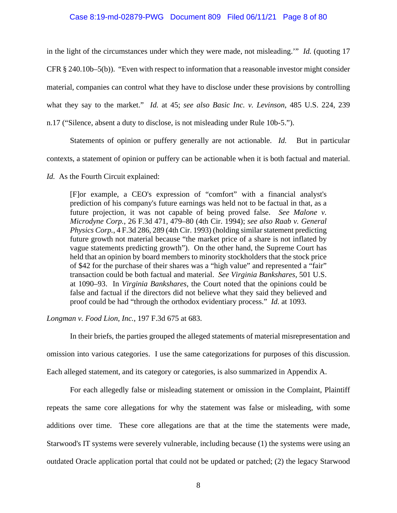# Case 8:19-md-02879-PWG Document 809 Filed 06/11/21 Page 8 of 80

in the light of the circumstances under which they were made, not misleading.'" *Id.* (quoting 17 CFR § 240.10b–5(b)). "Even with respect to information that a reasonable investor might consider material, companies can control what they have to disclose under these provisions by controlling what they say to the market." *Id.* at 45; *see also Basic Inc. v. Levinson*, 485 U.S. 224, 239 n.17 ("Silence, absent a duty to disclose, is not misleading under Rule 10b-5.").

Statements of opinion or puffery generally are not actionable. *Id.* But in particular contexts, a statement of opinion or puffery can be actionable when it is both factual and material.

### *Id.* As the Fourth Circuit explained:

[F]or example, a CEO's expression of "comfort" with a financial analyst's prediction of his company's future earnings was held not to be factual in that, as a future projection, it was not capable of being proved false. *See Malone v. Microdyne Corp.*, 26 F.3d 471, 479–80 (4th Cir. 1994); *see also Raab v. General Physics Corp.*, 4 F.3d 286, 289 (4th Cir. 1993) (holding similar statement predicting future growth not material because "the market price of a share is not inflated by vague statements predicting growth"). On the other hand, the Supreme Court has held that an opinion by board members to minority stockholders that the stock price of \$42 for the purchase of their shares was a "high value" and represented a "fair" transaction could be both factual and material. *See Virginia Bankshares*, 501 U.S. at 1090–93. In *Virginia Bankshares*, the Court noted that the opinions could be false and factual if the directors did not believe what they said they believed and proof could be had "through the orthodox evidentiary process." *Id.* at 1093.

## *Longman v. Food Lion, Inc.*, 197 F.3d 675 at 683.

In their briefs, the parties grouped the alleged statements of material misrepresentation and omission into various categories. I use the same categorizations for purposes of this discussion. Each alleged statement, and its category or categories, is also summarized in Appendix A.

For each allegedly false or misleading statement or omission in the Complaint, Plaintiff repeats the same core allegations for why the statement was false or misleading, with some additions over time. These core allegations are that at the time the statements were made, Starwood's IT systems were severely vulnerable, including because (1) the systems were using an outdated Oracle application portal that could not be updated or patched; (2) the legacy Starwood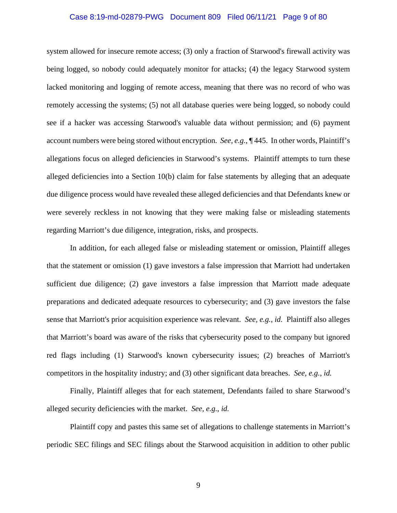# Case 8:19-md-02879-PWG Document 809 Filed 06/11/21 Page 9 of 80

system allowed for insecure remote access; (3) only a fraction of Starwood's firewall activity was being logged, so nobody could adequately monitor for attacks; (4) the legacy Starwood system lacked monitoring and logging of remote access, meaning that there was no record of who was remotely accessing the systems; (5) not all database queries were being logged, so nobody could see if a hacker was accessing Starwood's valuable data without permission; and (6) payment account numbers were being stored without encryption. *See, e.g.*, ¶ 445. In other words, Plaintiff's allegations focus on alleged deficiencies in Starwood's systems. Plaintiff attempts to turn these alleged deficiencies into a Section 10(b) claim for false statements by alleging that an adequate due diligence process would have revealed these alleged deficiencies and that Defendants knew or were severely reckless in not knowing that they were making false or misleading statements regarding Marriott's due diligence, integration, risks, and prospects.

In addition, for each alleged false or misleading statement or omission, Plaintiff alleges that the statement or omission (1) gave investors a false impression that Marriott had undertaken sufficient due diligence; (2) gave investors a false impression that Marriott made adequate preparations and dedicated adequate resources to cybersecurity; and (3) gave investors the false sense that Marriott's prior acquisition experience was relevant. *See, e.g.*, *id*. Plaintiff also alleges that Marriott's board was aware of the risks that cybersecurity posed to the company but ignored red flags including (1) Starwood's known cybersecurity issues; (2) breaches of Marriott's competitors in the hospitality industry; and (3) other significant data breaches. *See, e.g.*, *id.*

Finally, Plaintiff alleges that for each statement, Defendants failed to share Starwood's alleged security deficiencies with the market. *See, e.g.*, *id.*

Plaintiff copy and pastes this same set of allegations to challenge statements in Marriott's periodic SEC filings and SEC filings about the Starwood acquisition in addition to other public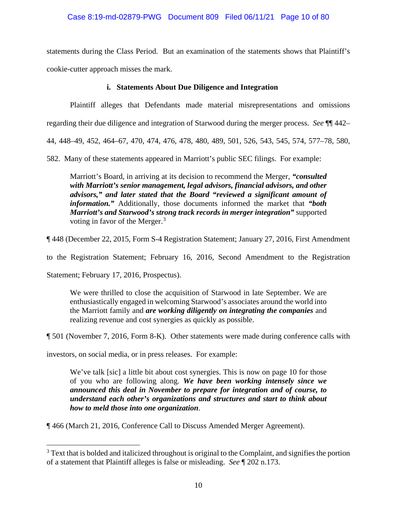statements during the Class Period. But an examination of the statements shows that Plaintiff's cookie-cutter approach misses the mark.

# **i. Statements About Due Diligence and Integration**

Plaintiff alleges that Defendants made material misrepresentations and omissions

regarding their due diligence and integration of Starwood during the merger process. *See* ¶¶ 442–

44, 448–49, 452, 464–67, 470, 474, 476, 478, 480, 489, 501, 526, 543, 545, 574, 577–78, 580,

582. Many of these statements appeared in Marriott's public SEC filings. For example:

Marriott's Board, in arriving at its decision to recommend the Merger, *"consulted with Marriott's senior management, legal advisors, financial advisors, and other advisors," and later stated that the Board "reviewed a significant amount of information."* Additionally, those documents informed the market that *"both Marriott's and Starwood's strong track records in merger integration"* supported voting in favor of the Merger.<sup>3</sup>

¶ 448 (December 22, 2015, Form S-4 Registration Statement; January 27, 2016, First Amendment

to the Registration Statement; February 16, 2016, Second Amendment to the Registration

Statement; February 17, 2016, Prospectus).

We were thrilled to close the acquisition of Starwood in late September. We are enthusiastically engaged in welcoming Starwood's associates around the world into the Marriott family and *are working diligently on integrating the companies* and realizing revenue and cost synergies as quickly as possible.

¶ 501 (November 7, 2016, Form 8-K). Other statements were made during conference calls with

investors, on social media, or in press releases. For example:

We've talk [sic] a little bit about cost synergies. This is now on page 10 for those of you who are following along. *We have been working intensely since we announced this deal in November to prepare for integration and of course, to understand each other's organizations and structures and start to think about how to meld those into one organization*.

¶ 466 (March 21, 2016, Conference Call to Discuss Amended Merger Agreement).

<sup>&</sup>lt;sup>3</sup> Text that is bolded and italicized throughout is original to the Complaint, and signifies the portion of a statement that Plaintiff alleges is false or misleading. *See* ¶ 202 n.173.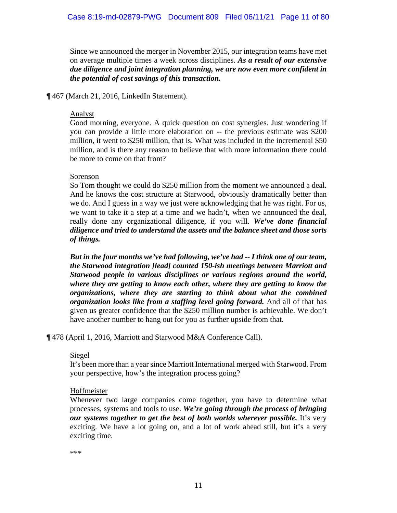Since we announced the merger in November 2015, our integration teams have met on average multiple times a week across disciplines. *As a result of our extensive due diligence and joint integration planning, we are now even more confident in the potential of cost savings of this transaction.*

¶ 467 (March 21, 2016, LinkedIn Statement).

# Analyst

Good morning, everyone. A quick question on cost synergies. Just wondering if you can provide a little more elaboration on -- the previous estimate was \$200 million, it went to \$250 million, that is. What was included in the incremental \$50 million, and is there any reason to believe that with more information there could be more to come on that front?

# Sorenson

So Tom thought we could do \$250 million from the moment we announced a deal. And he knows the cost structure at Starwood, obviously dramatically better than we do. And I guess in a way we just were acknowledging that he was right. For us, we want to take it a step at a time and we hadn't, when we announced the deal, really done any organizational diligence, if you will. *We've done financial diligence and tried to understand the assets and the balance sheet and those sorts of things.*

*But in the four months we've had following, we've had -- I think one of our team, the Starwood integration [lead] counted 150-ish meetings between Marriott and Starwood people in various disciplines or various regions around the world, where they are getting to know each other, where they are getting to know the organizations, where they are starting to think about what the combined organization looks like from a staffing level going forward.* And all of that has given us greater confidence that the \$250 million number is achievable. We don't have another number to hang out for you as further upside from that.

¶ 478 (April 1, 2016, Marriott and Starwood M&A Conference Call).

# Siegel

It's been more than a year since Marriott International merged with Starwood. From your perspective, how's the integration process going?

# Hoffmeister

Whenever two large companies come together, you have to determine what processes, systems and tools to use. *We're going through the process of bringing our systems together to get the best of both worlds wherever possible.* It's very exciting. We have a lot going on, and a lot of work ahead still, but it's a very exciting time.

\*\*\*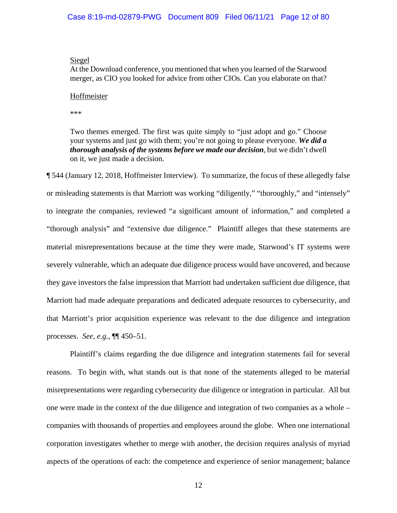# Siegel

At the Download conference, you mentioned that when you learned of the Starwood merger, as CIO you looked for advice from other CIOs. Can you elaborate on that?

# **Hoffmeister**

\*\*\*

Two themes emerged. The first was quite simply to "just adopt and go." Choose your systems and just go with them; you're not going to please everyone. *We did a thorough analysis of the systems before we made our decision*, but we didn't dwell on it, we just made a decision.

¶ 544 (January 12, 2018, Hoffmeister Interview). To summarize, the focus of these allegedly false or misleading statements is that Marriott was working "diligently," "thoroughly," and "intensely" to integrate the companies, reviewed "a significant amount of information," and completed a "thorough analysis" and "extensive due diligence." Plaintiff alleges that these statements are material misrepresentations because at the time they were made, Starwood's IT systems were severely vulnerable, which an adequate due diligence process would have uncovered, and because they gave investors the false impression that Marriott had undertaken sufficient due diligence, that Marriott had made adequate preparations and dedicated adequate resources to cybersecurity, and that Marriott's prior acquisition experience was relevant to the due diligence and integration processes. *See, e.g.*, ¶¶ 450–51.

Plaintiff's claims regarding the due diligence and integration statements fail for several reasons. To begin with, what stands out is that none of the statements alleged to be material misrepresentations were regarding cybersecurity due diligence or integration in particular. All but one were made in the context of the due diligence and integration of two companies as a whole – companies with thousands of properties and employees around the globe. When one international corporation investigates whether to merge with another, the decision requires analysis of myriad aspects of the operations of each: the competence and experience of senior management; balance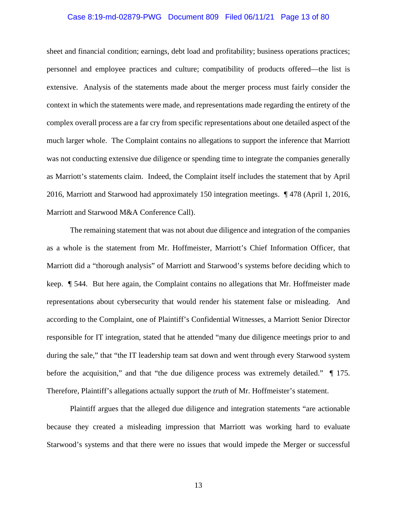# Case 8:19-md-02879-PWG Document 809 Filed 06/11/21 Page 13 of 80

sheet and financial condition; earnings, debt load and profitability; business operations practices; personnel and employee practices and culture; compatibility of products offered—the list is extensive. Analysis of the statements made about the merger process must fairly consider the context in which the statements were made, and representations made regarding the entirety of the complex overall process are a far cry from specific representations about one detailed aspect of the much larger whole. The Complaint contains no allegations to support the inference that Marriott was not conducting extensive due diligence or spending time to integrate the companies generally as Marriott's statements claim. Indeed, the Complaint itself includes the statement that by April 2016, Marriott and Starwood had approximately 150 integration meetings. ¶ 478 (April 1, 2016, Marriott and Starwood M&A Conference Call).

The remaining statement that was not about due diligence and integration of the companies as a whole is the statement from Mr. Hoffmeister, Marriott's Chief Information Officer, that Marriott did a "thorough analysis" of Marriott and Starwood's systems before deciding which to keep. ¶ 544. But here again, the Complaint contains no allegations that Mr. Hoffmeister made representations about cybersecurity that would render his statement false or misleading. And according to the Complaint, one of Plaintiff's Confidential Witnesses, a Marriott Senior Director responsible for IT integration, stated that he attended "many due diligence meetings prior to and during the sale," that "the IT leadership team sat down and went through every Starwood system before the acquisition," and that "the due diligence process was extremely detailed." ¶ 175. Therefore, Plaintiff's allegations actually support the *truth* of Mr. Hoffmeister's statement.

Plaintiff argues that the alleged due diligence and integration statements "are actionable because they created a misleading impression that Marriott was working hard to evaluate Starwood's systems and that there were no issues that would impede the Merger or successful

13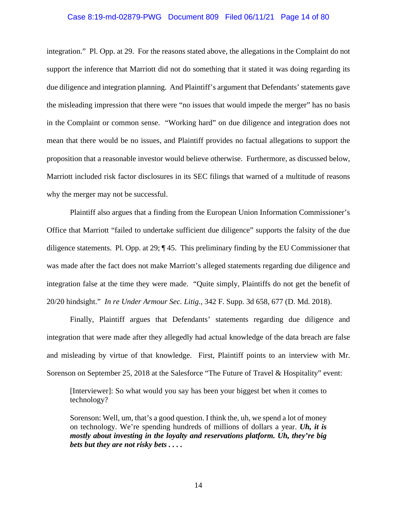# Case 8:19-md-02879-PWG Document 809 Filed 06/11/21 Page 14 of 80

integration." Pl. Opp. at 29. For the reasons stated above, the allegations in the Complaint do not support the inference that Marriott did not do something that it stated it was doing regarding its due diligence and integration planning. And Plaintiff's argument that Defendants' statements gave the misleading impression that there were "no issues that would impede the merger" has no basis in the Complaint or common sense. "Working hard" on due diligence and integration does not mean that there would be no issues, and Plaintiff provides no factual allegations to support the proposition that a reasonable investor would believe otherwise. Furthermore, as discussed below, Marriott included risk factor disclosures in its SEC filings that warned of a multitude of reasons why the merger may not be successful.

Plaintiff also argues that a finding from the European Union Information Commissioner's Office that Marriott "failed to undertake sufficient due diligence" supports the falsity of the due diligence statements. Pl. Opp. at 29; ¶ 45. This preliminary finding by the EU Commissioner that was made after the fact does not make Marriott's alleged statements regarding due diligence and integration false at the time they were made. "Quite simply, Plaintiffs do not get the benefit of 20/20 hindsight." *In re Under Armour Sec. Litig.*, 342 F. Supp. 3d 658, 677 (D. Md. 2018).

Finally, Plaintiff argues that Defendants' statements regarding due diligence and integration that were made after they allegedly had actual knowledge of the data breach are false and misleading by virtue of that knowledge. First, Plaintiff points to an interview with Mr. Sorenson on September 25, 2018 at the Salesforce "The Future of Travel & Hospitality" event:

[Interviewer]: So what would you say has been your biggest bet when it comes to technology?

Sorenson: Well, um, that's a good question. I think the, uh, we spend a lot of money on technology. We're spending hundreds of millions of dollars a year. *Uh, it is mostly about investing in the loyalty and reservations platform. Uh, they're big bets but they are not risky bets . . . .*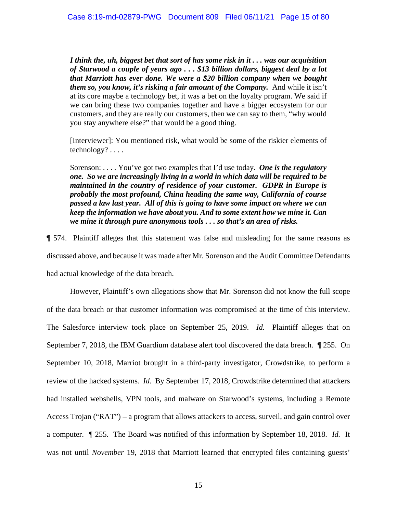*I think the, uh, biggest bet that sort of has some risk in it . . . was our acquisition of Starwood a couple of years ago . . . \$13 billion dollars, biggest deal by a lot that Marriott has ever done. We were a \$20 billion company when we bought them so, you know, it's risking a fair amount of the Company.* And while it isn't at its core maybe a technology bet, it was a bet on the loyalty program. We said if we can bring these two companies together and have a bigger ecosystem for our customers, and they are really our customers, then we can say to them, "why would you stay anywhere else?" that would be a good thing.

[Interviewer]: You mentioned risk, what would be some of the riskier elements of technology? . . . .

Sorenson: . . . . You've got two examples that I'd use today. *One is the regulatory one. So we are increasingly living in a world in which data will be required to be maintained in the country of residence of your customer. GDPR in Europe is probably the most profound, China heading the same way, California of course passed a law last year. All of this is going to have some impact on where we can keep the information we have about you. And to some extent how we mine it. Can we mine it through pure anonymous tools . . . so that's an area of risks.*

¶ 574. Plaintiff alleges that this statement was false and misleading for the same reasons as discussed above, and because it was made after Mr. Sorenson and the Audit Committee Defendants had actual knowledge of the data breach.

However, Plaintiff's own allegations show that Mr. Sorenson did not know the full scope of the data breach or that customer information was compromised at the time of this interview. The Salesforce interview took place on September 25, 2019. *Id.* Plaintiff alleges that on September 7, 2018, the IBM Guardium database alert tool discovered the data breach. *¶* 255. On September 10, 2018, Marriot brought in a third-party investigator, Crowdstrike, to perform a review of the hacked systems. *Id.* By September 17, 2018, Crowdstrike determined that attackers had installed webshells, VPN tools, and malware on Starwood's systems, including a Remote Access Trojan ("RAT") – a program that allows attackers to access, surveil, and gain control over a computer. *¶* 255. The Board was notified of this information by September 18, 2018. *Id.* It was not until *November* 19, 2018 that Marriott learned that encrypted files containing guests'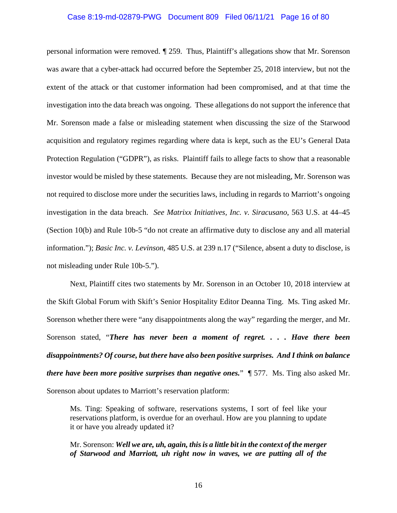# Case 8:19-md-02879-PWG Document 809 Filed 06/11/21 Page 16 of 80

personal information were removed. *¶* 259. Thus, Plaintiff's allegations show that Mr. Sorenson was aware that a cyber-attack had occurred before the September 25, 2018 interview, but not the extent of the attack or that customer information had been compromised, and at that time the investigation into the data breach was ongoing. These allegations do not support the inference that Mr. Sorenson made a false or misleading statement when discussing the size of the Starwood acquisition and regulatory regimes regarding where data is kept, such as the EU's General Data Protection Regulation ("GDPR"), as risks. Plaintiff fails to allege facts to show that a reasonable investor would be misled by these statements. Because they are not misleading, Mr. Sorenson was not required to disclose more under the securities laws, including in regards to Marriott's ongoing investigation in the data breach. *See Matrixx Initiatives, Inc. v. Siracusano*, 563 U.S. at 44–45 (Section 10(b) and Rule 10b-5 "do not create an affirmative duty to disclose any and all material information."); *Basic Inc. v. Levinson*, 485 U.S. at 239 n.17 ("Silence, absent a duty to disclose, is not misleading under Rule 10b-5.").

Next, Plaintiff cites two statements by Mr. Sorenson in an October 10, 2018 interview at the Skift Global Forum with Skift's Senior Hospitality Editor Deanna Ting. Ms. Ting asked Mr. Sorenson whether there were "any disappointments along the way" regarding the merger, and Mr. Sorenson stated, "*There has never been a moment of regret. . . . Have there been disappointments? Of course, but there have also been positive surprises. And I think on balance there have been more positive surprises than negative ones.*" ¶ 577. Ms. Ting also asked Mr. Sorenson about updates to Marriott's reservation platform:

Ms. Ting: Speaking of software, reservations systems, I sort of feel like your reservations platform, is overdue for an overhaul. How are you planning to update it or have you already updated it?

Mr. Sorenson: *Well we are, uh, again, this is a little bit in the context of the merger of Starwood and Marriott, uh right now in waves, we are putting all of the*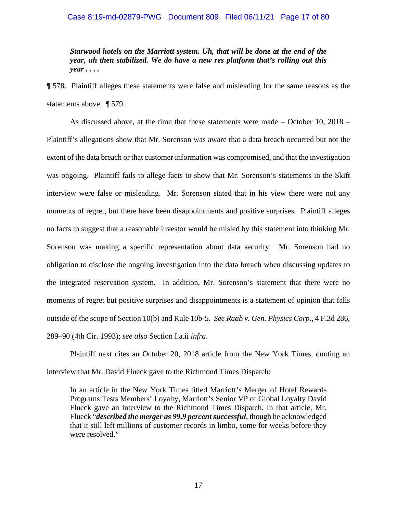# Case 8:19-md-02879-PWG Document 809 Filed 06/11/21 Page 17 of 80

*Starwood hotels on the Marriott system. Uh, that will be done at the end of the year, uh then stabilized. We do have a new res platform that's rolling out this year . . . .*

¶ 578. Plaintiff alleges these statements were false and misleading for the same reasons as the statements above. ¶ 579.

As discussed above, at the time that these statements were made – October 10, 2018 – Plaintiff's allegations show that Mr. Sorenson was aware that a data breach occurred but not the extent of the data breach or that customer information was compromised, and that the investigation was ongoing. Plaintiff fails to allege facts to show that Mr. Sorenson's statements in the Skift interview were false or misleading. Mr. Sorenson stated that in his view there were not any moments of regret, but there have been disappointments and positive surprises. Plaintiff alleges no facts to suggest that a reasonable investor would be misled by this statement into thinking Mr. Sorenson was making a specific representation about data security. Mr. Sorenson had no obligation to disclose the ongoing investigation into the data breach when discussing updates to the integrated reservation system. In addition, Mr. Sorenson's statement that there were no moments of regret but positive surprises and disappointments is a statement of opinion that falls outside of the scope of Section 10(b) and Rule 10b-5. *See Raab v. Gen. Physics Corp.*, 4 F.3d 286, 289–90 (4th Cir. 1993); *see also* Section I.a.ii *infra*.

Plaintiff next cites an October 20, 2018 article from the New York Times, quoting an interview that Mr. David Flueck gave to the Richmond Times Dispatch:

In an article in the New York Times titled Marriott's Merger of Hotel Rewards Programs Tests Members' Loyalty, Marriott's Senior VP of Global Loyalty David Flueck gave an interview to the Richmond Times Dispatch. In that article, Mr. Flueck "*described the merger as 99.9 percent successful*, though he acknowledged that it still left millions of customer records in limbo, some for weeks before they were resolved."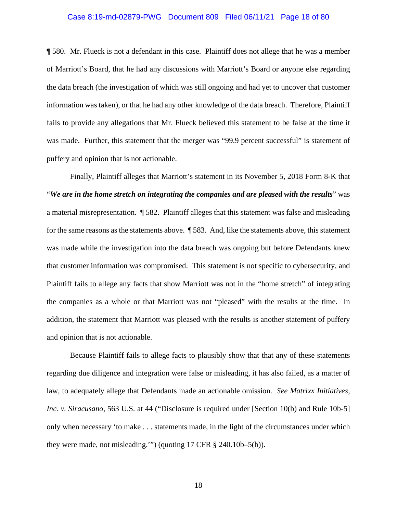# Case 8:19-md-02879-PWG Document 809 Filed 06/11/21 Page 18 of 80

¶ 580. Mr. Flueck is not a defendant in this case. Plaintiff does not allege that he was a member of Marriott's Board, that he had any discussions with Marriott's Board or anyone else regarding the data breach (the investigation of which was still ongoing and had yet to uncover that customer information was taken), or that he had any other knowledge of the data breach. Therefore, Plaintiff fails to provide any allegations that Mr. Flueck believed this statement to be false at the time it was made. Further, this statement that the merger was "99.9 percent successful" is statement of puffery and opinion that is not actionable.

Finally, Plaintiff alleges that Marriott's statement in its November 5, 2018 Form 8-K that "*We are in the home stretch on integrating the companies and are pleased with the results*" was a material misrepresentation. ¶ 582. Plaintiff alleges that this statement was false and misleading for the same reasons as the statements above. ¶ 583. And, like the statements above, this statement was made while the investigation into the data breach was ongoing but before Defendants knew that customer information was compromised. This statement is not specific to cybersecurity, and Plaintiff fails to allege any facts that show Marriott was not in the "home stretch" of integrating the companies as a whole or that Marriott was not "pleased" with the results at the time. In addition, the statement that Marriott was pleased with the results is another statement of puffery and opinion that is not actionable.

Because Plaintiff fails to allege facts to plausibly show that that any of these statements regarding due diligence and integration were false or misleading, it has also failed, as a matter of law, to adequately allege that Defendants made an actionable omission. *See Matrixx Initiatives, Inc. v. Siracusano*, 563 U.S. at 44 ("Disclosure is required under [Section 10(b) and Rule 10b-5] only when necessary 'to make . . . statements made, in the light of the circumstances under which they were made, not misleading.'") (quoting 17 CFR § 240.10b–5(b)).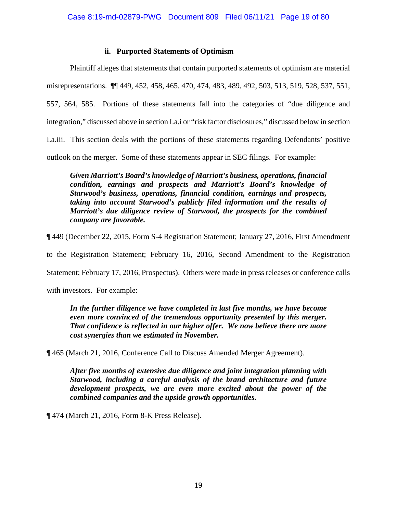# **ii. Purported Statements of Optimism**

Plaintiff alleges that statements that contain purported statements of optimism are material misrepresentations. ¶¶ 449, 452, 458, 465, 470, 474, 483, 489, 492, 503, 513, 519, 528, 537, 551, 557, 564, 585. Portions of these statements fall into the categories of "due diligence and integration," discussed above in section I.a.i or "risk factor disclosures," discussed below in section I.a.iii. This section deals with the portions of these statements regarding Defendants' positive outlook on the merger. Some of these statements appear in SEC filings. For example:

*Given Marriott's Board's knowledge of Marriott's business, operations, financial condition, earnings and prospects and Marriott's Board's knowledge of Starwood's business, operations, financial condition, earnings and prospects, taking into account Starwood's publicly filed information and the results of Marriott's due diligence review of Starwood, the prospects for the combined company are favorable.*

¶ 449 (December 22, 2015, Form S-4 Registration Statement; January 27, 2016, First Amendment

to the Registration Statement; February 16, 2016, Second Amendment to the Registration

Statement; February 17, 2016, Prospectus). Others were made in press releases or conference calls

with investors. For example:

In the further diligence we have completed in last five months, we have become *even more convinced of the tremendous opportunity presented by this merger. That confidence is reflected in our higher offer. We now believe there are more cost synergies than we estimated in November.*

¶ 465 (March 21, 2016, Conference Call to Discuss Amended Merger Agreement).

*After five months of extensive due diligence and joint integration planning with Starwood, including a careful analysis of the brand architecture and future development prospects, we are even more excited about the power of the combined companies and the upside growth opportunities.* 

¶ 474 (March 21, 2016, Form 8-K Press Release).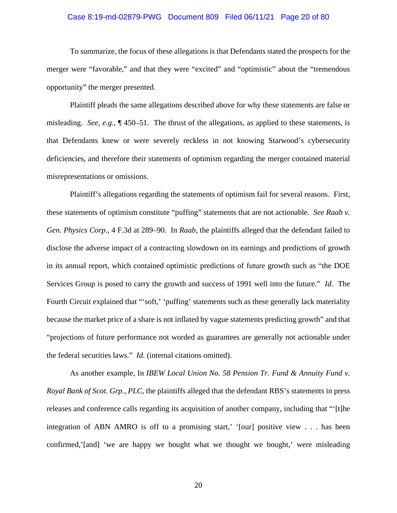# Case 8:19-md-02879-PWG Document 809 Filed 06/11/21 Page 20 of 80

To summarize, the focus of these allegations is that Defendants stated the prospects for the merger were "favorable," and that they were "excited" and "optimistic" about the "tremendous opportunity" the merger presented.

Plaintiff pleads the same allegations described above for why these statements are false or misleading. *See, e.g.*, ¶ 450–51. The thrust of the allegations, as applied to these statements, is that Defendants knew or were severely reckless in not knowing Starwood's cybersecurity deficiencies, and therefore their statements of optimism regarding the merger contained material misrepresentations or omissions.

Plaintiff's allegations regarding the statements of optimism fail for several reasons. First, these statements of optimism constitute "puffing" statements that are not actionable. *See Raab v. Gen. Physics Corp.*, 4 F.3d at 289–90. In *Raab*, the plaintiffs alleged that the defendant failed to disclose the adverse impact of a contracting slowdown on its earnings and predictions of growth in its annual report, which contained optimistic predictions of future growth such as "the DOE Services Group is posed to carry the growth and success of 1991 well into the future." *Id*. The Fourth Circuit explained that "'soft,' 'puffing' statements such as these generally lack materiality because the market price of a share is not inflated by vague statements predicting growth" and that "projections of future performance not worded as guarantees are generally not actionable under the federal securities laws." *Id.* (internal citations omitted).

As another example, In *IBEW Local Union No. 58 Pension Tr. Fund & Annuity Fund v. Royal Bank of Scot. Grp., PLC*, the plaintiffs alleged that the defendant RBS's statements in press releases and conference calls regarding its acquisition of another company, including that "'[t]he integration of ABN AMRO is off to a promising start,' '[our] positive view . . . has been confirmed,'[and] 'we are happy we bought what we thought we bought,' were misleading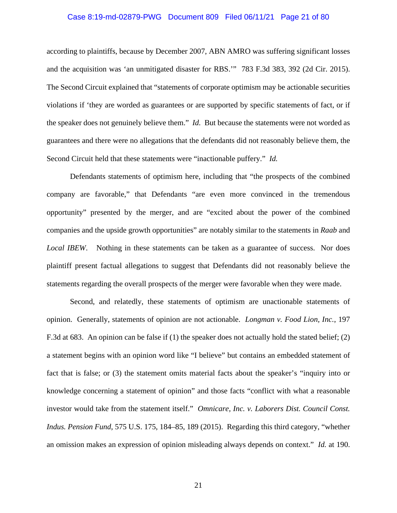# Case 8:19-md-02879-PWG Document 809 Filed 06/11/21 Page 21 of 80

according to plaintiffs, because by December 2007, ABN AMRO was suffering significant losses and the acquisition was 'an unmitigated disaster for RBS.'" 783 F.3d 383, 392 (2d Cir. 2015). The Second Circuit explained that "statements of corporate optimism may be actionable securities violations if 'they are worded as guarantees or are supported by specific statements of fact, or if the speaker does not genuinely believe them." *Id.* But because the statements were not worded as guarantees and there were no allegations that the defendants did not reasonably believe them, the Second Circuit held that these statements were "inactionable puffery." *Id.*

Defendants statements of optimism here, including that "the prospects of the combined company are favorable," that Defendants "are even more convinced in the tremendous opportunity" presented by the merger, and are "excited about the power of the combined companies and the upside growth opportunities" are notably similar to the statements in *Raab* and *Local IBEW*. Nothing in these statements can be taken as a guarantee of success. Nor does plaintiff present factual allegations to suggest that Defendants did not reasonably believe the statements regarding the overall prospects of the merger were favorable when they were made.

Second, and relatedly, these statements of optimism are unactionable statements of opinion. Generally, statements of opinion are not actionable. *Longman v. Food Lion, Inc.*, 197 F.3d at 683. An opinion can be false if (1) the speaker does not actually hold the stated belief; (2) a statement begins with an opinion word like "I believe" but contains an embedded statement of fact that is false; or (3) the statement omits material facts about the speaker's "inquiry into or knowledge concerning a statement of opinion" and those facts "conflict with what a reasonable investor would take from the statement itself." *Omnicare, Inc. v. Laborers Dist. Council Const. Indus. Pension Fund*, 575 U.S. 175, 184–85, 189 (2015). Regarding this third category, "whether an omission makes an expression of opinion misleading always depends on context." *Id.* at 190.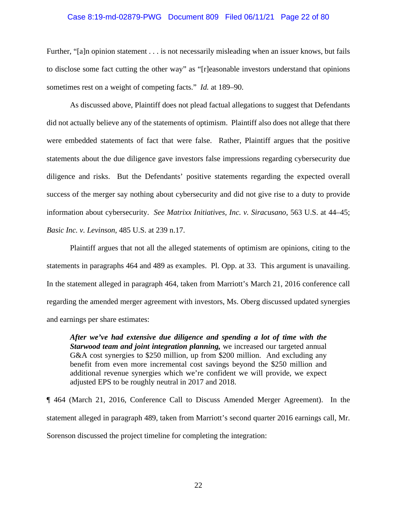# Case 8:19-md-02879-PWG Document 809 Filed 06/11/21 Page 22 of 80

Further, "[a]n opinion statement . . . is not necessarily misleading when an issuer knows, but fails to disclose some fact cutting the other way" as "[r]easonable investors understand that opinions sometimes rest on a weight of competing facts." *Id.* at 189–90.

As discussed above, Plaintiff does not plead factual allegations to suggest that Defendants did not actually believe any of the statements of optimism. Plaintiff also does not allege that there were embedded statements of fact that were false. Rather, Plaintiff argues that the positive statements about the due diligence gave investors false impressions regarding cybersecurity due diligence and risks. But the Defendants' positive statements regarding the expected overall success of the merger say nothing about cybersecurity and did not give rise to a duty to provide information about cybersecurity. *See Matrixx Initiatives, Inc. v. Siracusano*, 563 U.S. at 44–45; *Basic Inc. v. Levinson*, 485 U.S. at 239 n.17.

Plaintiff argues that not all the alleged statements of optimism are opinions, citing to the statements in paragraphs 464 and 489 as examples. Pl. Opp. at 33. This argument is unavailing. In the statement alleged in paragraph 464, taken from Marriott's March 21, 2016 conference call regarding the amended merger agreement with investors, Ms. Oberg discussed updated synergies and earnings per share estimates:

*After we've had extensive due diligence and spending a lot of time with the Starwood team and joint integration planning,* we increased our targeted annual G&A cost synergies to \$250 million, up from \$200 million. And excluding any benefit from even more incremental cost savings beyond the \$250 million and additional revenue synergies which we're confident we will provide, we expect adjusted EPS to be roughly neutral in 2017 and 2018.

¶ 464 (March 21, 2016, Conference Call to Discuss Amended Merger Agreement). In the statement alleged in paragraph 489, taken from Marriott's second quarter 2016 earnings call, Mr. Sorenson discussed the project timeline for completing the integration: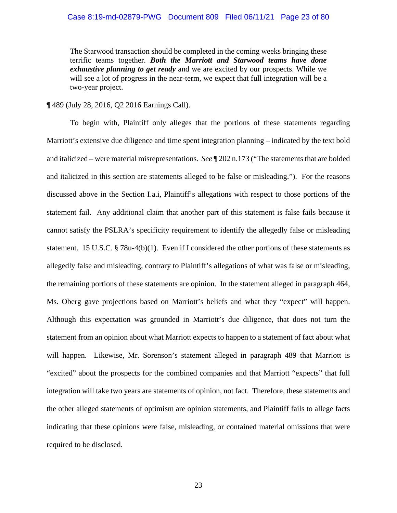# Case 8:19-md-02879-PWG Document 809 Filed 06/11/21 Page 23 of 80

The Starwood transaction should be completed in the coming weeks bringing these terrific teams together. *Both the Marriott and Starwood teams have done exhaustive planning to get ready* and we are excited by our prospects. While we will see a lot of progress in the near-term, we expect that full integration will be a two-year project.

¶ 489 (July 28, 2016, Q2 2016 Earnings Call).

To begin with, Plaintiff only alleges that the portions of these statements regarding Marriott's extensive due diligence and time spent integration planning – indicated by the text bold and italicized – were material misrepresentations. *See* ¶ 202 n.173 ("The statements that are bolded and italicized in this section are statements alleged to be false or misleading."). For the reasons discussed above in the Section I.a.i, Plaintiff's allegations with respect to those portions of the statement fail. Any additional claim that another part of this statement is false fails because it cannot satisfy the PSLRA's specificity requirement to identify the allegedly false or misleading statement. 15 U.S.C. § 78u-4(b)(1). Even if I considered the other portions of these statements as allegedly false and misleading, contrary to Plaintiff's allegations of what was false or misleading, the remaining portions of these statements are opinion. In the statement alleged in paragraph 464, Ms. Oberg gave projections based on Marriott's beliefs and what they "expect" will happen. Although this expectation was grounded in Marriott's due diligence, that does not turn the statement from an opinion about what Marriott expects to happen to a statement of fact about what will happen. Likewise, Mr. Sorenson's statement alleged in paragraph 489 that Marriott is "excited" about the prospects for the combined companies and that Marriott "expects" that full integration will take two years are statements of opinion, not fact. Therefore, these statements and the other alleged statements of optimism are opinion statements, and Plaintiff fails to allege facts indicating that these opinions were false, misleading, or contained material omissions that were required to be disclosed.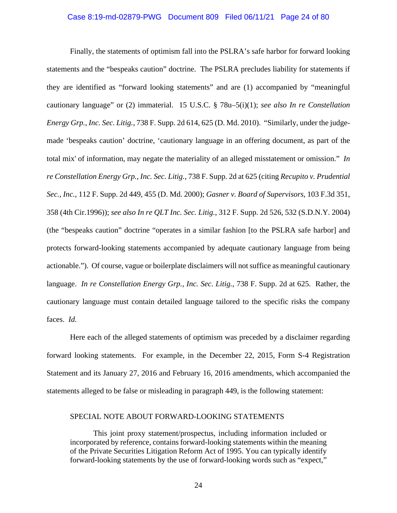# Case 8:19-md-02879-PWG Document 809 Filed 06/11/21 Page 24 of 80

Finally, the statements of optimism fall into the PSLRA's safe harbor for forward looking statements and the "bespeaks caution" doctrine. The PSLRA precludes liability for statements if they are identified as "forward looking statements" and are (1) accompanied by "meaningful cautionary language" or (2) immaterial. 15 U.S.C. § 78u–5(i)(1); *see also In re Constellation Energy Grp., Inc. Sec. Litig.*, 738 F. Supp. 2d 614, 625 (D. Md. 2010). "Similarly, under the judgemade 'bespeaks caution' doctrine, 'cautionary language in an offering document, as part of the total mix' of information, may negate the materiality of an alleged misstatement or omission." *In re Constellation Energy Grp., Inc. Sec. Litig.*, 738 F. Supp. 2d at 625 (citing *Recupito v. Prudential Sec., Inc.*, 112 F. Supp. 2d 449, 455 (D. Md. 2000); *Gasner v. Board of Supervisors*, 103 F.3d 351, 358 (4th Cir.1996)); *see also In re QLT Inc. Sec. Litig.*, 312 F. Supp. 2d 526, 532 (S.D.N.Y. 2004) (the "bespeaks caution" doctrine "operates in a similar fashion [to the PSLRA safe harbor] and protects forward-looking statements accompanied by adequate cautionary language from being actionable."). Of course, vague or boilerplate disclaimers will not suffice as meaningful cautionary language. *In re Constellation Energy Grp., Inc. Sec. Litig.*, 738 F. Supp. 2d at 625. Rather, the cautionary language must contain detailed language tailored to the specific risks the company faces. *Id.*

Here each of the alleged statements of optimism was preceded by a disclaimer regarding forward looking statements. For example, in the December 22, 2015, Form S-4 Registration Statement and its January 27, 2016 and February 16, 2016 amendments, which accompanied the statements alleged to be false or misleading in paragraph 449, is the following statement:

# SPECIAL NOTE ABOUT FORWARD-LOOKING STATEMENTS

This joint proxy statement/prospectus, including information included or incorporated by reference, contains forward-looking statements within the meaning of the Private Securities Litigation Reform Act of 1995. You can typically identify forward-looking statements by the use of forward-looking words such as "expect,"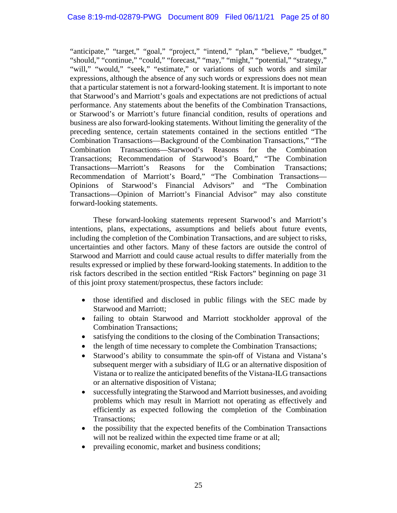"anticipate," "target," "goal," "project," "intend," "plan," "believe," "budget," "should," "continue," "could," "forecast," "may," "might," "potential," "strategy," "will," "would," "seek," "estimate," or variations of such words and similar expressions, although the absence of any such words or expressions does not mean that a particular statement is not a forward-looking statement. It is important to note that Starwood's and Marriott's goals and expectations are not predictions of actual performance. Any statements about the benefits of the Combination Transactions, or Starwood's or Marriott's future financial condition, results of operations and business are also forward-looking statements. Without limiting the generality of the preceding sentence, certain statements contained in the sections entitled "The Combination Transactions—Background of the Combination Transactions," "The Combination Transactions—Starwood's Reasons for the Combination Transactions; Recommendation of Starwood's Board," "The Combination Transactions—Marriott's Reasons for the Combination Transactions; Recommendation of Marriott's Board," "The Combination Transactions— Opinions of Starwood's Financial Advisors" and "The Combination Transactions—Opinion of Marriott's Financial Advisor" may also constitute forward-looking statements.

These forward-looking statements represent Starwood's and Marriott's intentions, plans, expectations, assumptions and beliefs about future events, including the completion of the Combination Transactions, and are subject to risks, uncertainties and other factors. Many of these factors are outside the control of Starwood and Marriott and could cause actual results to differ materially from the results expressed or implied by these forward-looking statements. In addition to the risk factors described in the section entitled "Risk Factors" beginning on page 31 of this joint proxy statement/prospectus, these factors include:

- those identified and disclosed in public filings with the SEC made by Starwood and Marriott;
- failing to obtain Starwood and Marriott stockholder approval of the Combination Transactions;
- satisfying the conditions to the closing of the Combination Transactions;
- the length of time necessary to complete the Combination Transactions;
- Starwood's ability to consummate the spin-off of Vistana and Vistana's subsequent merger with a subsidiary of ILG or an alternative disposition of Vistana or to realize the anticipated benefits of the Vistana-ILG transactions or an alternative disposition of Vistana;
- successfully integrating the Starwood and Marriott businesses, and avoiding problems which may result in Marriott not operating as effectively and efficiently as expected following the completion of the Combination Transactions;
- the possibility that the expected benefits of the Combination Transactions will not be realized within the expected time frame or at all;
- prevailing economic, market and business conditions;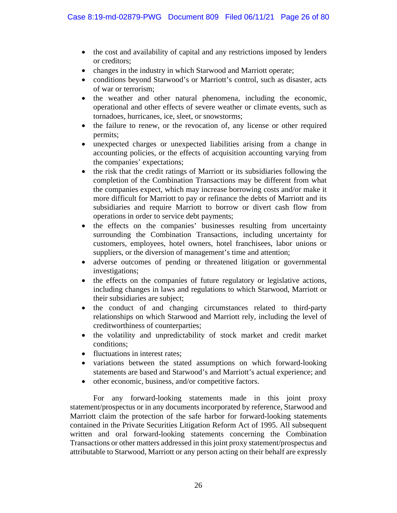- the cost and availability of capital and any restrictions imposed by lenders or creditors;
- changes in the industry in which Starwood and Marriott operate;
- conditions beyond Starwood's or Marriott's control, such as disaster, acts of war or terrorism;
- the weather and other natural phenomena, including the economic, operational and other effects of severe weather or climate events, such as tornadoes, hurricanes, ice, sleet, or snowstorms;
- the failure to renew, or the revocation of, any license or other required permits;
- unexpected charges or unexpected liabilities arising from a change in accounting policies, or the effects of acquisition accounting varying from the companies' expectations;
- the risk that the credit ratings of Marriott or its subsidiaries following the completion of the Combination Transactions may be different from what the companies expect, which may increase borrowing costs and/or make it more difficult for Marriott to pay or refinance the debts of Marriott and its subsidiaries and require Marriott to borrow or divert cash flow from operations in order to service debt payments;
- the effects on the companies' businesses resulting from uncertainty surrounding the Combination Transactions, including uncertainty for customers, employees, hotel owners, hotel franchisees, labor unions or suppliers, or the diversion of management's time and attention;
- adverse outcomes of pending or threatened litigation or governmental investigations;
- the effects on the companies of future regulatory or legislative actions, including changes in laws and regulations to which Starwood, Marriott or their subsidiaries are subject;
- the conduct of and changing circumstances related to third-party relationships on which Starwood and Marriott rely, including the level of creditworthiness of counterparties;
- the volatility and unpredictability of stock market and credit market conditions;
- fluctuations in interest rates:
- variations between the stated assumptions on which forward-looking statements are based and Starwood's and Marriott's actual experience; and
- other economic, business, and/or competitive factors.

For any forward-looking statements made in this joint proxy statement/prospectus or in any documents incorporated by reference, Starwood and Marriott claim the protection of the safe harbor for forward-looking statements contained in the Private Securities Litigation Reform Act of 1995. All subsequent written and oral forward-looking statements concerning the Combination Transactions or other matters addressed in this joint proxy statement/prospectus and attributable to Starwood, Marriott or any person acting on their behalf are expressly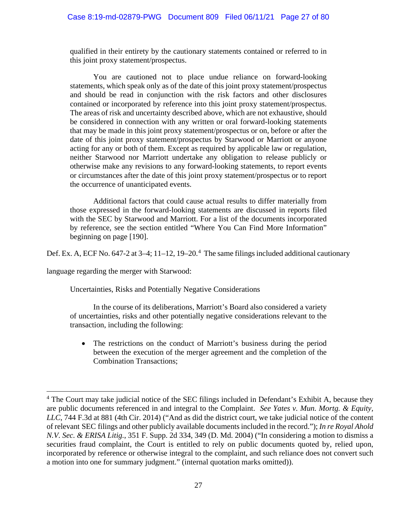qualified in their entirety by the cautionary statements contained or referred to in this joint proxy statement/prospectus.

You are cautioned not to place undue reliance on forward-looking statements, which speak only as of the date of this joint proxy statement/prospectus and should be read in conjunction with the risk factors and other disclosures contained or incorporated by reference into this joint proxy statement/prospectus. The areas of risk and uncertainty described above, which are not exhaustive, should be considered in connection with any written or oral forward-looking statements that may be made in this joint proxy statement/prospectus or on, before or after the date of this joint proxy statement/prospectus by Starwood or Marriott or anyone acting for any or both of them. Except as required by applicable law or regulation, neither Starwood nor Marriott undertake any obligation to release publicly or otherwise make any revisions to any forward-looking statements, to report events or circumstances after the date of this joint proxy statement/prospectus or to report the occurrence of unanticipated events.

Additional factors that could cause actual results to differ materially from those expressed in the forward-looking statements are discussed in reports filed with the SEC by Starwood and Marriott. For a list of the documents incorporated by reference, see the section entitled "Where You Can Find More Information" beginning on page [190].

Def. Ex. A, ECF No. 647-2 at 3–4; 11–12, 19–20.<sup>4</sup> The same filings included additional cautionary

language regarding the merger with Starwood:

Uncertainties, Risks and Potentially Negative Considerations

In the course of its deliberations, Marriott's Board also considered a variety of uncertainties, risks and other potentially negative considerations relevant to the transaction, including the following:

• The restrictions on the conduct of Marriott's business during the period between the execution of the merger agreement and the completion of the Combination Transactions;

<sup>&</sup>lt;sup>4</sup> The Court may take judicial notice of the SEC filings included in Defendant's Exhibit A, because they are public documents referenced in and integral to the Complaint. *See Yates v. Mun. Mortg. & Equity, LLC*, 744 F.3d at 881 (4th Cir. 2014) ("And as did the district court, we take judicial notice of the content of relevant SEC filings and other publicly available documentsincluded in the record."); *In re Royal Ahold N.V. Sec. & ERISA Litig.*, 351 F. Supp. 2d 334, 349 (D. Md. 2004) ("In considering a motion to dismiss a securities fraud complaint, the Court is entitled to rely on public documents quoted by, relied upon, incorporated by reference or otherwise integral to the complaint, and such reliance does not convert such a motion into one for summary judgment." (internal quotation marks omitted)).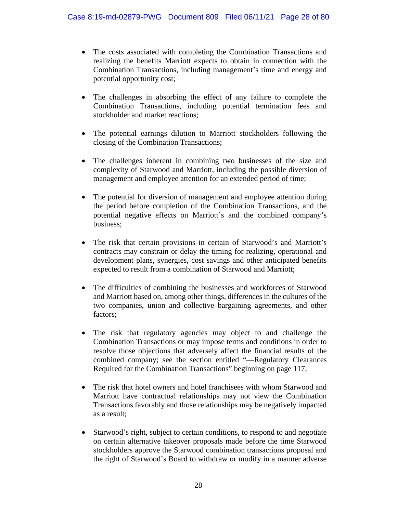- The costs associated with completing the Combination Transactions and realizing the benefits Marriott expects to obtain in connection with the Combination Transactions, including management's time and energy and potential opportunity cost;
- The challenges in absorbing the effect of any failure to complete the Combination Transactions, including potential termination fees and stockholder and market reactions;
- The potential earnings dilution to Marriott stockholders following the closing of the Combination Transactions;
- The challenges inherent in combining two businesses of the size and complexity of Starwood and Marriott, including the possible diversion of management and employee attention for an extended period of time;
- The potential for diversion of management and employee attention during the period before completion of the Combination Transactions, and the potential negative effects on Marriott's and the combined company's business;
- The risk that certain provisions in certain of Starwood's and Marriott's contracts may constrain or delay the timing for realizing, operational and development plans, synergies, cost savings and other anticipated benefits expected to result from a combination of Starwood and Marriott;
- The difficulties of combining the businesses and workforces of Starwood and Marriott based on, among other things, differences in the cultures of the two companies, union and collective bargaining agreements, and other factors;
- The risk that regulatory agencies may object to and challenge the Combination Transactions or may impose terms and conditions in order to resolve those objections that adversely affect the financial results of the combined company; see the section entitled "—Regulatory Clearances Required for the Combination Transactions" beginning on page 117;
- The risk that hotel owners and hotel franchisees with whom Starwood and Marriott have contractual relationships may not view the Combination Transactions favorably and those relationships may be negatively impacted as a result;
- Starwood's right, subject to certain conditions, to respond to and negotiate on certain alternative takeover proposals made before the time Starwood stockholders approve the Starwood combination transactions proposal and the right of Starwood's Board to withdraw or modify in a manner adverse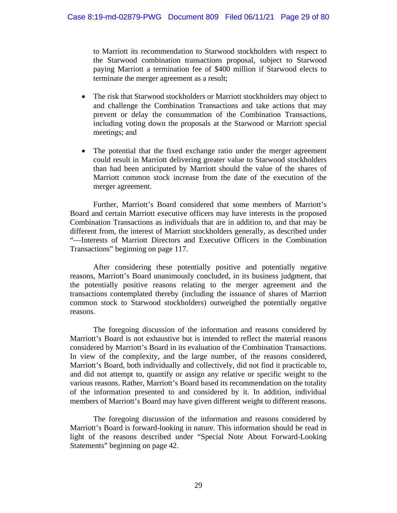to Marriott its recommendation to Starwood stockholders with respect to the Starwood combination transactions proposal, subject to Starwood paying Marriott a termination fee of \$400 million if Starwood elects to terminate the merger agreement as a result;

- The risk that Starwood stockholders or Marriott stockholders may object to and challenge the Combination Transactions and take actions that may prevent or delay the consummation of the Combination Transactions, including voting down the proposals at the Starwood or Marriott special meetings; and
- The potential that the fixed exchange ratio under the merger agreement could result in Marriott delivering greater value to Starwood stockholders than had been anticipated by Marriott should the value of the shares of Marriott common stock increase from the date of the execution of the merger agreement.

Further, Marriott's Board considered that some members of Marriott's Board and certain Marriott executive officers may have interests in the proposed Combination Transactions as individuals that are in addition to, and that may be different from, the interest of Marriott stockholders generally, as described under "—Interests of Marriott Directors and Executive Officers in the Combination Transactions" beginning on page 117.

After considering these potentially positive and potentially negative reasons, Marriott's Board unanimously concluded, in its business judgment, that the potentially positive reasons relating to the merger agreement and the transactions contemplated thereby (including the issuance of shares of Marriott common stock to Starwood stockholders) outweighed the potentially negative reasons.

The foregoing discussion of the information and reasons considered by Marriott's Board is not exhaustive but is intended to reflect the material reasons considered by Marriott's Board in its evaluation of the Combination Transactions. In view of the complexity, and the large number, of the reasons considered, Marriott's Board, both individually and collectively, did not find it practicable to, and did not attempt to, quantify or assign any relative or specific weight to the various reasons. Rather, Marriott's Board based its recommendation on the totality of the information presented to and considered by it. In addition, individual members of Marriott's Board may have given different weight to different reasons.

The foregoing discussion of the information and reasons considered by Marriott's Board is forward-looking in nature. This information should be read in light of the reasons described under "Special Note About Forward-Looking Statements" beginning on page 42.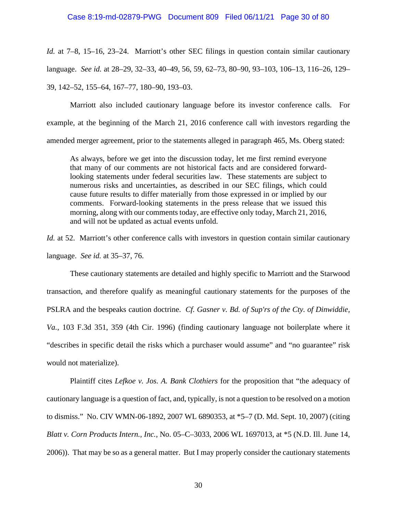# Case 8:19-md-02879-PWG Document 809 Filed 06/11/21 Page 30 of 80

*Id.* at 7–8, 15–16, 23–24. Marriott's other SEC filings in question contain similar cautionary language. *See id.* at 28–29, 32–33, 40–49, 56, 59, 62–73, 80–90, 93–103, 106–13, 116–26, 129– 39, 142–52, 155–64, 167–77, 180–90, 193–03.

Marriott also included cautionary language before its investor conference calls. For example, at the beginning of the March 21, 2016 conference call with investors regarding the amended merger agreement, prior to the statements alleged in paragraph 465, Ms. Oberg stated:

As always, before we get into the discussion today, let me first remind everyone that many of our comments are not historical facts and are considered forwardlooking statements under federal securities law. These statements are subject to numerous risks and uncertainties, as described in our SEC filings, which could cause future results to differ materially from those expressed in or implied by our comments. Forward-looking statements in the press release that we issued this morning, along with our comments today, are effective only today, March 21, 2016, and will not be updated as actual events unfold.

*Id.* at 52. Marriott's other conference calls with investors in question contain similar cautionary language. *See id.* at 35–37, 76.

These cautionary statements are detailed and highly specific to Marriott and the Starwood transaction, and therefore qualify as meaningful cautionary statements for the purposes of the PSLRA and the bespeaks caution doctrine. *Cf. Gasner v. Bd. of Sup'rs of the Cty. of Dinwiddie, Va.*, 103 F.3d 351, 359 (4th Cir. 1996) (finding cautionary language not boilerplate where it "describes in specific detail the risks which a purchaser would assume" and "no guarantee" risk would not materialize).

Plaintiff cites *Lefkoe v. Jos. A. Bank Clothiers* for the proposition that "the adequacy of cautionary language is a question of fact, and, typically, is not a question to be resolved on a motion to dismiss." No. CIV WMN-06-1892, 2007 WL 6890353, at \*5–7 (D. Md. Sept. 10, 2007) (citing *Blatt v. Corn Products Intern., Inc.,* No. 05–C–3033, 2006 WL 1697013, at \*5 (N.D. Ill. June 14, 2006)). That may be so as a general matter. But I may properly consider the cautionary statements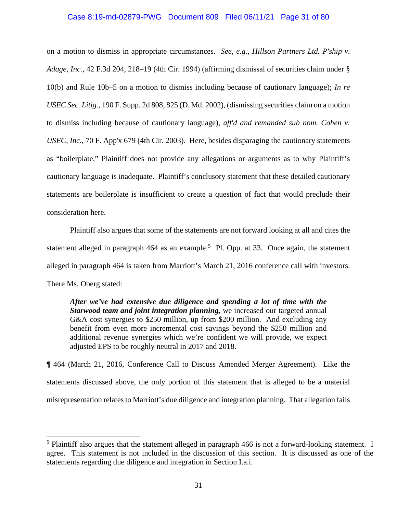# Case 8:19-md-02879-PWG Document 809 Filed 06/11/21 Page 31 of 80

on a motion to dismiss in appropriate circumstances. *See, e.g.*, *Hillson Partners Ltd. P'ship v. Adage, Inc.*, 42 F.3d 204, 218–19 (4th Cir. 1994) (affirming dismissal of securities claim under § 10(b) and Rule 10b–5 on a motion to dismiss including because of cautionary language); *In re USEC Sec. Litig.*, 190 F. Supp. 2d 808, 825 (D. Md. 2002), (dismissing securities claim on a motion to dismiss including because of cautionary language), *aff'd and remanded sub nom. Cohen v. USEC, Inc.*, 70 F. App'x 679 (4th Cir. 2003). Here, besides disparaging the cautionary statements as "boilerplate," Plaintiff does not provide any allegations or arguments as to why Plaintiff's cautionary language is inadequate. Plaintiff's conclusory statement that these detailed cautionary statements are boilerplate is insufficient to create a question of fact that would preclude their consideration here.

Plaintiff also argues that some of the statements are not forward looking at all and cites the statement alleged in paragraph  $464$  as an example.<sup>5</sup> Pl. Opp. at 33. Once again, the statement alleged in paragraph 464 is taken from Marriott's March 21, 2016 conference call with investors. There Ms. Oberg stated:

*After we've had extensive due diligence and spending a lot of time with the Starwood team and joint integration planning,* we increased our targeted annual G&A cost synergies to \$250 million, up from \$200 million. And excluding any benefit from even more incremental cost savings beyond the \$250 million and additional revenue synergies which we're confident we will provide, we expect adjusted EPS to be roughly neutral in 2017 and 2018.

¶ 464 (March 21, 2016, Conference Call to Discuss Amended Merger Agreement). Like the statements discussed above, the only portion of this statement that is alleged to be a material misrepresentation relatesto Marriott's due diligence and integration planning. That allegation fails

<sup>&</sup>lt;sup>5</sup> Plaintiff also argues that the statement alleged in paragraph 466 is not a forward-looking statement. I agree. This statement is not included in the discussion of this section. It is discussed as one of the statements regarding due diligence and integration in Section I.a.i.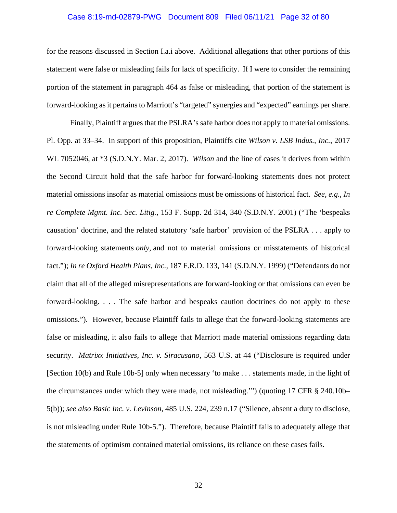# Case 8:19-md-02879-PWG Document 809 Filed 06/11/21 Page 32 of 80

for the reasons discussed in Section I.a.i above. Additional allegations that other portions of this statement were false or misleading fails for lack of specificity. If I were to consider the remaining portion of the statement in paragraph 464 as false or misleading, that portion of the statement is forward-looking as it pertains to Marriott's "targeted" synergies and "expected" earnings per share.

Finally, Plaintiff argues that the PSLRA's safe harbor does not apply to material omissions. Pl. Opp. at 33–34. In support of this proposition, Plaintiffs cite *Wilson v. LSB Indus., Inc.*, 2017 WL 7052046, at \*3 (S.D.N.Y. Mar. 2, 2017). *Wilson* and the line of cases it derives from within the Second Circuit hold that the safe harbor for forward-looking statements does not protect material omissions insofar as material omissions must be omissions of historical fact. *See, e.g.*, *In re Complete Mgmt. Inc. Sec. Litig.*, 153 F. Supp. 2d 314, 340 (S.D.N.Y. 2001) ("The 'bespeaks causation' doctrine, and the related statutory 'safe harbor' provision of the PSLRA . . . apply to forward-looking statements *only,* and not to material omissions or misstatements of historical fact."); *In re Oxford Health Plans, Inc.*, 187 F.R.D. 133, 141 (S.D.N.Y. 1999) ("Defendants do not claim that all of the alleged misrepresentations are forward-looking or that omissions can even be forward-looking. . . . The safe harbor and bespeaks caution doctrines do not apply to these omissions."). However, because Plaintiff fails to allege that the forward-looking statements are false or misleading, it also fails to allege that Marriott made material omissions regarding data security. *Matrixx Initiatives, Inc. v. Siracusano*, 563 U.S. at 44 ("Disclosure is required under [Section 10(b) and Rule 10b-5] only when necessary 'to make . . . statements made, in the light of the circumstances under which they were made, not misleading.'") (quoting 17 CFR § 240.10b– 5(b)); *see also Basic Inc. v. Levinson*, 485 U.S. 224, 239 n.17 ("Silence, absent a duty to disclose, is not misleading under Rule 10b-5."). Therefore, because Plaintiff fails to adequately allege that the statements of optimism contained material omissions, its reliance on these cases fails.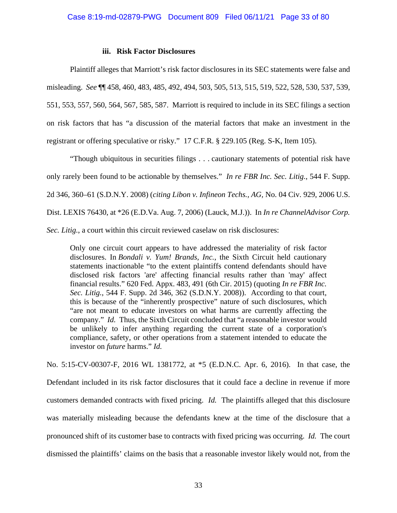## **iii. Risk Factor Disclosures**

Plaintiff alleges that Marriott's risk factor disclosures in its SEC statements were false and misleading. *See* ¶¶ 458, 460, 483, 485, 492, 494, 503, 505, 513, 515, 519, 522, 528, 530, 537, 539, 551, 553, 557, 560, 564, 567, 585, 587. Marriott is required to include in its SEC filings a section on risk factors that has "a discussion of the material factors that make an investment in the registrant or offering speculative or risky." 17 C.F.R. § 229.105 (Reg. S-K, Item 105).

"Though ubiquitous in securities filings . . . cautionary statements of potential risk have only rarely been found to be actionable by themselves." *In re FBR Inc. Sec. Litig.*, 544 F. Supp. 2d 346, 360–61 (S.D.N.Y. 2008) (*citing Libon v. Infineon Techs., AG,* No. 04 Civ. 929, 2006 U.S. Dist. LEXIS 76430, at \*26 (E.D.Va. Aug. 7, 2006) (Lauck, M.J.)). In *In re ChannelAdvisor Corp. Sec. Litig.*, a court within this circuit reviewed caselaw on risk disclosures:

Only one circuit court appears to have addressed the materiality of risk factor disclosures. In *Bondali v. Yum! Brands, Inc.*, the Sixth Circuit held cautionary statements inactionable "to the extent plaintiffs contend defendants should have disclosed risk factors 'are' affecting financial results rather than 'may' affect financial results." 620 Fed. Appx. 483, 491 (6th Cir. 2015) (quoting *In re FBR Inc. Sec. Litig.*, 544 F. Supp. 2d 346, 362 (S.D.N.Y. 2008)). According to that court, this is because of the "inherently prospective" nature of such disclosures, which "are not meant to educate investors on what harms are currently affecting the company." *Id.* Thus, the Sixth Circuit concluded that "a reasonable investor would be unlikely to infer anything regarding the current state of a corporation's compliance, safety, or other operations from a statement intended to educate the investor on *future* harms." *Id.*

No. 5:15-CV-00307-F, 2016 WL 1381772, at \*5 (E.D.N.C. Apr. 6, 2016). In that case, the Defendant included in its risk factor disclosures that it could face a decline in revenue if more customers demanded contracts with fixed pricing. *Id.* The plaintiffs alleged that this disclosure was materially misleading because the defendants knew at the time of the disclosure that a pronounced shift of its customer base to contracts with fixed pricing was occurring. *Id.* The court dismissed the plaintiffs' claims on the basis that a reasonable investor likely would not, from the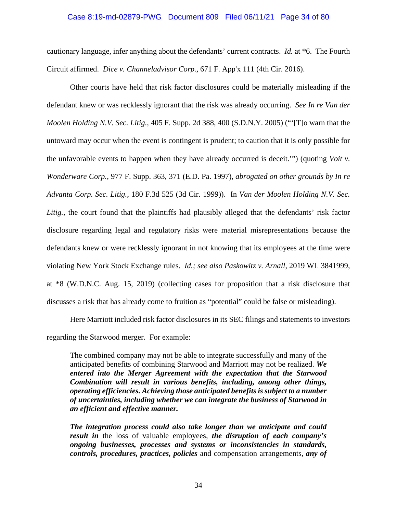### Case 8:19-md-02879-PWG Document 809 Filed 06/11/21 Page 34 of 80

cautionary language, infer anything about the defendants' current contracts. *Id.* at \*6. The Fourth Circuit affirmed. *Dice v. Channeladvisor Corp.*, 671 F. App'x 111 (4th Cir. 2016).

Other courts have held that risk factor disclosures could be materially misleading if the defendant knew or was recklessly ignorant that the risk was already occurring. *See In re Van der Moolen Holding N.V. Sec. Litig.*, 405 F. Supp. 2d 388, 400 (S.D.N.Y. 2005) ("'[T]o warn that the untoward may occur when the event is contingent is prudent; to caution that it is only possible for the unfavorable events to happen when they have already occurred is deceit.'") (quoting *Voit v. Wonderware Corp.*, 977 F. Supp. 363, 371 (E.D. Pa. 1997), *abrogated on other grounds by In re Advanta Corp. Sec. Litig.*, 180 F.3d 525 (3d Cir. 1999)). In *Van der Moolen Holding N.V. Sec.* Litig., the court found that the plaintiffs had plausibly alleged that the defendants' risk factor disclosure regarding legal and regulatory risks were material misrepresentations because the defendants knew or were recklessly ignorant in not knowing that its employees at the time were violating New York Stock Exchange rules. *Id.; see also Paskowitz v. Arnall*, 2019 WL 3841999, at \*8 (W.D.N.C. Aug. 15, 2019) (collecting cases for proposition that a risk disclosure that discusses a risk that has already come to fruition as "potential" could be false or misleading).

Here Marriott included risk factor disclosures in its SEC filings and statements to investors regarding the Starwood merger. For example:

The combined company may not be able to integrate successfully and many of the anticipated benefits of combining Starwood and Marriott may not be realized. *We entered into the Merger Agreement with the expectation that the Starwood Combination will result in various benefits, including, among other things, operating efficiencies. Achieving those anticipated benefits is subject to a number of uncertainties, including whether we can integrate the business of Starwood in an efficient and effective manner.*

*The integration process could also take longer than we anticipate and could result in* the loss of valuable employees, *the disruption of each company's ongoing businesses, processes and systems or inconsistencies in standards, controls, procedures, practices, policies* and compensation arrangements, *any of*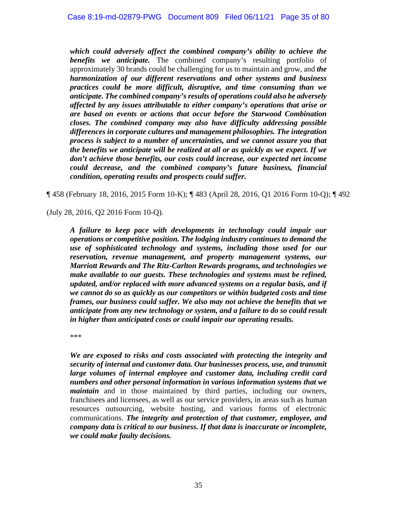*which could adversely affect the combined company's ability to achieve the benefits we anticipate.* The combined company's resulting portfolio of approximately 30 brands could be challenging for us to maintain and grow, and *the harmonization of our different reservations and other systems and business practices could be more difficult, disruptive, and time consuming than we anticipate. The combined company's results of operations could also be adversely affected by any issues attributable to either company's operations that arise or are based on events or actions that occur before the Starwood Combination closes. The combined company may also have difficulty addressing possible differences in corporate cultures and management philosophies. The integration process is subject to a number of uncertainties, and we cannot assure you that the benefits we anticipate will be realized at all or as quickly as we expect. If we don't achieve those benefits, our costs could increase, our expected net income could decrease, and the combined company's future business, financial condition, operating results and prospects could suffer.*

¶ 458 (February 18, 2016, 2015 Form 10-K); ¶ 483 (April 28, 2016, Q1 2016 Form 10-Q); ¶ 492

(July 28, 2016, Q2 2016 Form 10-Q).

*A failure to keep pace with developments in technology could impair our operations or competitive position. The lodging industry continues to demand the use of sophisticated technology and systems, including those used for our reservation, revenue management, and property management systems, our Marriott Rewards and The Ritz-Carlton Rewards programs, and technologies we make available to our guests. These technologies and systems must be refined, updated, and/or replaced with more advanced systems on a regular basis, and if we cannot do so as quickly as our competitors or within budgeted costs and time frames, our business could suffer. We also may not achieve the benefits that we anticipate from any new technology or system, and a failure to do so could result in higher than anticipated costs or could impair our operating results.*

\*\*\*

*We are exposed to risks and costs associated with protecting the integrity and security of internal and customer data. Our businesses process, use, and transmit large volumes of internal employee and customer data, including credit card numbers and other personal information in various information systems that we maintain* and in those maintained by third parties, including our owners, franchisees and licensees, as well as our service providers, in areas such as human resources outsourcing, website hosting, and various forms of electronic communications. *The integrity and protection of that customer, employee, and company data is critical to our business. If that data is inaccurate or incomplete, we could make faulty decisions.*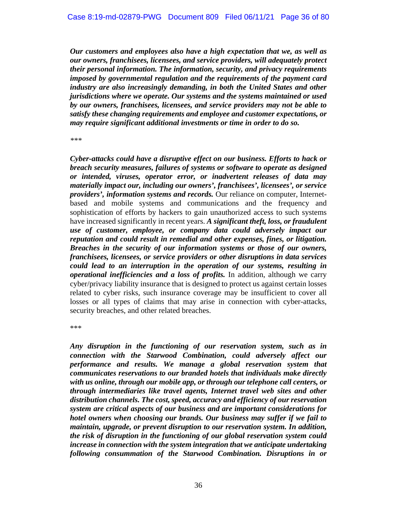*Our customers and employees also have a high expectation that we, as well as our owners, franchisees, licensees, and service providers, will adequately protect their personal information. The information, security, and privacy requirements imposed by governmental regulation and the requirements of the payment card industry are also increasingly demanding, in both the United States and other jurisdictions where we operate. Our systems and the systems maintained or used by our owners, franchisees, licensees, and service providers may not be able to satisfy these changing requirements and employee and customer expectations, or may require significant additional investments or time in order to do so.*

*\*\*\**

*Cyber-attacks could have a disruptive effect on our business. Efforts to hack or breach security measures, failures of systems or software to operate as designed or intended, viruses, operator error, or inadvertent releases of data may materially impact our, including our owners', franchisees', licensees', or service providers', information systems and records.* Our reliance on computer, Internetbased and mobile systems and communications and the frequency and sophistication of efforts by hackers to gain unauthorized access to such systems have increased significantly in recent years. *A significant theft, loss, or fraudulent use of customer, employee, or company data could adversely impact our reputation and could result in remedial and other expenses, fines, or litigation. Breaches in the security of our information systems or those of our owners, franchisees, licensees, or service providers or other disruptions in data services could lead to an interruption in the operation of our systems, resulting in operational inefficiencies and a loss of profits.* In addition, although we carry cyber/privacy liability insurance that is designed to protect us against certain losses related to cyber risks, such insurance coverage may be insufficient to cover all losses or all types of claims that may arise in connection with cyber-attacks, security breaches, and other related breaches.

\*\*\*

*Any disruption in the functioning of our reservation system, such as in connection with the Starwood Combination, could adversely affect our performance and results. We manage a global reservation system that communicates reservations to our branded hotels that individuals make directly with us online, through our mobile app, or through our telephone call centers, or through intermediaries like travel agents, Internet travel web sites and other distribution channels. The cost, speed, accuracy and efficiency of our reservation system are critical aspects of our business and are important considerations for hotel owners when choosing our brands. Our business may suffer if we fail to maintain, upgrade, or prevent disruption to our reservation system. In addition, the risk of disruption in the functioning of our global reservation system could increase in connection with the system integration that we anticipate undertaking following consummation of the Starwood Combination. Disruptions in or*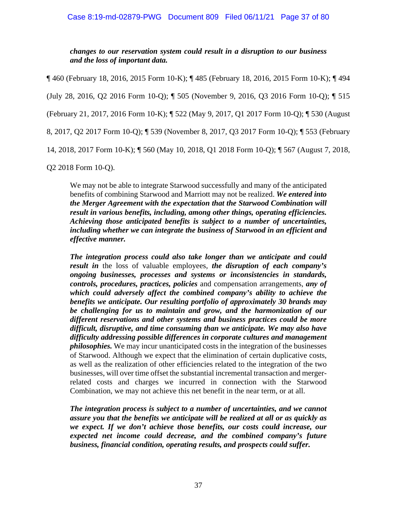*changes to our reservation system could result in a disruption to our business and the loss of important data.*

¶ 460 (February 18, 2016, 2015 Form 10-K); ¶ 485 (February 18, 2016, 2015 Form 10-K); ¶ 494 (July 28, 2016, Q2 2016 Form 10-Q); ¶ 505 (November 9, 2016, Q3 2016 Form 10-Q); ¶ 515 (February 21, 2017, 2016 Form 10-K); ¶ 522 (May 9, 2017, Q1 2017 Form 10-Q); ¶ 530 (August 8, 2017, Q2 2017 Form 10-Q); ¶ 539 (November 8, 2017, Q3 2017 Form 10-Q); ¶ 553 (February 14, 2018, 2017 Form 10-K); ¶ 560 (May 10, 2018, Q1 2018 Form 10-Q); ¶ 567 (August 7, 2018,

Q2 2018 Form 10-Q).

We may not be able to integrate Starwood successfully and many of the anticipated benefits of combining Starwood and Marriott may not be realized. *We entered into the Merger Agreement with the expectation that the Starwood Combination will result in various benefits, including, among other things, operating efficiencies. Achieving those anticipated benefits is subject to a number of uncertainties, including whether we can integrate the business of Starwood in an efficient and effective manner.*

*The integration process could also take longer than we anticipate and could result in* the loss of valuable employees, *the disruption of each company's ongoing businesses, processes and systems or inconsistencies in standards, controls, procedures, practices, policies* and compensation arrangements, *any of which could adversely affect the combined company's ability to achieve the benefits we anticipate. Our resulting portfolio of approximately 30 brands may be challenging for us to maintain and grow, and the harmonization of our different reservations and other systems and business practices could be more difficult, disruptive, and time consuming than we anticipate. We may also have difficulty addressing possible differences in corporate cultures and management philosophies.* We may incur unanticipated costs in the integration of the businesses of Starwood. Although we expect that the elimination of certain duplicative costs, as well as the realization of other efficiencies related to the integration of the two businesses, will over time offset the substantial incremental transaction and mergerrelated costs and charges we incurred in connection with the Starwood Combination, we may not achieve this net benefit in the near term, or at all.

*The integration process is subject to a number of uncertainties, and we cannot assure you that the benefits we anticipate will be realized at all or as quickly as we expect. If we don't achieve those benefits, our costs could increase, our expected net income could decrease, and the combined company's future business, financial condition, operating results, and prospects could suffer.*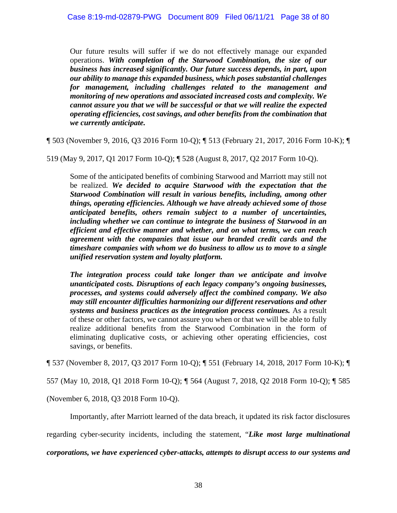Our future results will suffer if we do not effectively manage our expanded operations. *With completion of the Starwood Combination, the size of our business has increased significantly. Our future success depends, in part, upon our ability to manage this expanded business, which poses substantial challenges for management, including challenges related to the management and monitoring of new operations and associated increased costs and complexity. We cannot assure you that we will be successful or that we will realize the expected operating efficiencies, cost savings, and other benefits from the combination that we currently anticipate.*

¶ 503 (November 9, 2016, Q3 2016 Form 10-Q); ¶ 513 (February 21, 2017, 2016 Form 10-K); ¶

519 (May 9, 2017, Q1 2017 Form 10-Q); ¶ 528 (August 8, 2017, Q2 2017 Form 10-Q).

Some of the anticipated benefits of combining Starwood and Marriott may still not be realized. *We decided to acquire Starwood with the expectation that the Starwood Combination will result in various benefits, including, among other things, operating efficiencies. Although we have already achieved some of those anticipated benefits, others remain subject to a number of uncertainties, including whether we can continue to integrate the business of Starwood in an efficient and effective manner and whether, and on what terms, we can reach agreement with the companies that issue our branded credit cards and the timeshare companies with whom we do business to allow us to move to a single unified reservation system and loyalty platform.*

*The integration process could take longer than we anticipate and involve unanticipated costs. Disruptions of each legacy company's ongoing businesses, processes, and systems could adversely affect the combined company. We also may still encounter difficulties harmonizing our different reservations and other systems and business practices as the integration process continues.* As a result of these or other factors, we cannot assure you when or that we will be able to fully realize additional benefits from the Starwood Combination in the form of eliminating duplicative costs, or achieving other operating efficiencies, cost savings, or benefits.

¶ 537 (November 8, 2017, Q3 2017 Form 10-Q); ¶ 551 (February 14, 2018, 2017 Form 10-K); ¶

557 (May 10, 2018, Q1 2018 Form 10-Q); ¶ 564 (August 7, 2018, Q2 2018 Form 10-Q); ¶ 585

(November 6, 2018, Q3 2018 Form 10-Q).

Importantly, after Marriott learned of the data breach, it updated its risk factor disclosures

regarding cyber-security incidents, including the statement, "*Like most large multinational*

*corporations, we have experienced cyber-attacks, attempts to disrupt access to our systems and*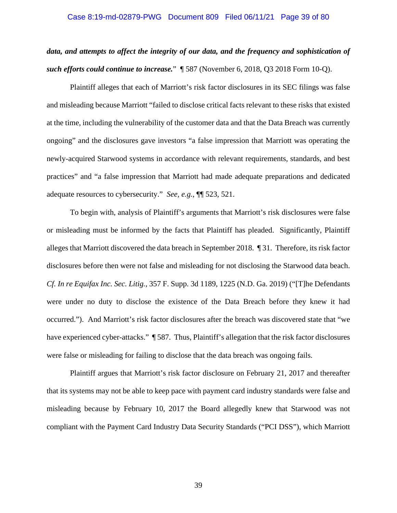# Case 8:19-md-02879-PWG Document 809 Filed 06/11/21 Page 39 of 80

# *data, and attempts to affect the integrity of our data, and the frequency and sophistication of such efforts could continue to increase.*"¶ 587 (November 6, 2018, Q3 2018 Form 10-Q).

Plaintiff alleges that each of Marriott's risk factor disclosures in its SEC filings was false and misleading because Marriott "failed to disclose critical facts relevant to these risks that existed at the time, including the vulnerability of the customer data and that the Data Breach was currently ongoing" and the disclosures gave investors "a false impression that Marriott was operating the newly-acquired Starwood systems in accordance with relevant requirements, standards, and best practices" and "a false impression that Marriott had made adequate preparations and dedicated adequate resources to cybersecurity." *See, e.g.*, ¶¶ 523, 521.

To begin with, analysis of Plaintiff's arguments that Marriott's risk disclosures were false or misleading must be informed by the facts that Plaintiff has pleaded. Significantly, Plaintiff alleges that Marriott discovered the data breach in September 2018. ¶ 31. Therefore, its risk factor disclosures before then were not false and misleading for not disclosing the Starwood data beach. *Cf. In re Equifax Inc. Sec. Litig.*, 357 F. Supp. 3d 1189, 1225 (N.D. Ga. 2019) ("[T]he Defendants were under no duty to disclose the existence of the Data Breach before they knew it had occurred."). And Marriott's risk factor disclosures after the breach was discovered state that "we have experienced cyber-attacks." ¶ 587. Thus, Plaintiff's allegation that the risk factor disclosures were false or misleading for failing to disclose that the data breach was ongoing fails.

Plaintiff argues that Marriott's risk factor disclosure on February 21, 2017 and thereafter that its systems may not be able to keep pace with payment card industry standards were false and misleading because by February 10, 2017 the Board allegedly knew that Starwood was not compliant with the Payment Card Industry Data Security Standards ("PCI DSS"), which Marriott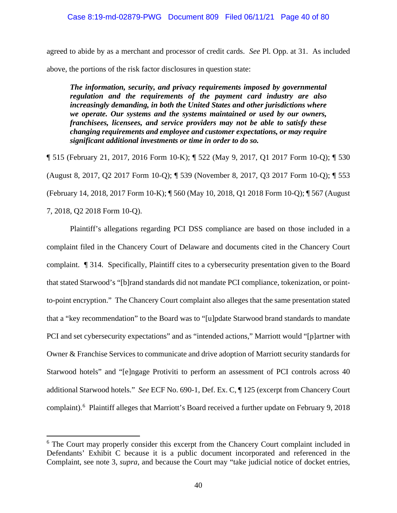agreed to abide by as a merchant and processor of credit cards. *See* Pl. Opp. at 31. As included above, the portions of the risk factor disclosures in question state:

*The information, security, and privacy requirements imposed by governmental regulation and the requirements of the payment card industry are also increasingly demanding, in both the United States and other jurisdictions where we operate. Our systems and the systems maintained or used by our owners, franchisees, licensees, and service providers may not be able to satisfy these changing requirements and employee and customer expectations, or may require significant additional investments or time in order to do so.*

¶ 515 (February 21, 2017, 2016 Form 10-K); ¶ 522 (May 9, 2017, Q1 2017 Form 10-Q); ¶ 530 (August 8, 2017, Q2 2017 Form 10-Q); ¶ 539 (November 8, 2017, Q3 2017 Form 10-Q); ¶ 553 (February 14, 2018, 2017 Form 10-K); ¶ 560 (May 10, 2018, Q1 2018 Form 10-Q); ¶ 567 (August 7, 2018, Q2 2018 Form 10-Q).

Plaintiff's allegations regarding PCI DSS compliance are based on those included in a complaint filed in the Chancery Court of Delaware and documents cited in the Chancery Court complaint. ¶ 314. Specifically, Plaintiff cites to a cybersecurity presentation given to the Board that stated Starwood's "[b]rand standards did not mandate PCI compliance, tokenization, or pointto-point encryption." The Chancery Court complaint also alleges that the same presentation stated that a "key recommendation" to the Board was to "[u]pdate Starwood brand standards to mandate PCI and set cybersecurity expectations" and as "intended actions," Marriott would "[p]artner with Owner & Franchise Services to communicate and drive adoption of Marriott security standards for Starwood hotels" and "[e]ngage Protiviti to perform an assessment of PCI controls across 40 additional Starwood hotels." *See* ECF No. 690-1, Def. Ex. C, ¶ 125 (excerpt from Chancery Court complaint).<sup>6</sup> Plaintiff alleges that Marriott's Board received a further update on February 9, 2018

<sup>&</sup>lt;sup>6</sup> The Court may properly consider this excerpt from the Chancery Court complaint included in Defendants' Exhibit C because it is a public document incorporated and referenced in the Complaint, see note 3, *supra*, and because the Court may "take judicial notice of docket entries,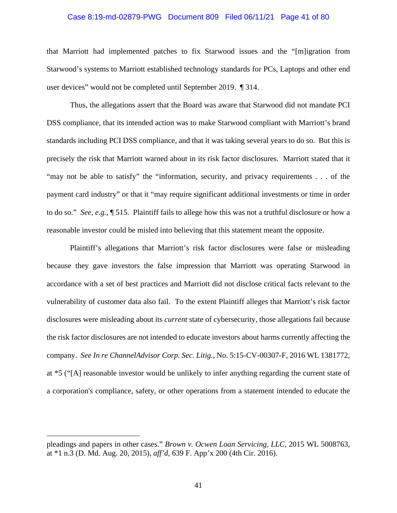# Case 8:19-md-02879-PWG Document 809 Filed 06/11/21 Page 41 of 80

that Marriott had implemented patches to fix Starwood issues and the "[m]igration from Starwood's systems to Marriott established technology standards for PCs, Laptops and other end user devices" would not be completed until September 2019. ¶ 314.

Thus, the allegations assert that the Board was aware that Starwood did not mandate PCI DSS compliance, that its intended action was to make Starwood compliant with Marriott's brand standards including PCI DSS compliance, and that it was taking several years to do so. But this is precisely the risk that Marriott warned about in its risk factor disclosures. Marriott stated that it "may not be able to satisfy" the "information, security, and privacy requirements . . . of the payment card industry" or that it "may require significant additional investments or time in order to do so." *See, e.g.*, ¶ 515. Plaintiff fails to allege how this was not a truthful disclosure or how a reasonable investor could be misled into believing that this statement meant the opposite.

Plaintiff's allegations that Marriott's risk factor disclosures were false or misleading because they gave investors the false impression that Marriott was operating Starwood in accordance with a set of best practices and Marriott did not disclose critical facts relevant to the vulnerability of customer data also fail. To the extent Plaintiff alleges that Marriott's risk factor disclosures were misleading about its *current* state of cybersecurity, those allegations fail because the risk factor disclosures are not intended to educate investors about harms currently affecting the company. *See In re ChannelAdvisor Corp. Sec. Litig.*, No. 5:15-CV-00307-F, 2016 WL 1381772, at \*5 ("[A] reasonable investor would be unlikely to infer anything regarding the current state of a corporation's compliance, safety, or other operations from a statement intended to educate the

pleadings and papers in other cases." *Brown v. Ocwen Loan Servicing, LLC*, 2015 WL 5008763, at \*1 n.3 (D. Md. Aug. 20, 2015), *aff'd*, 639 F. App'x 200 (4th Cir. 2016).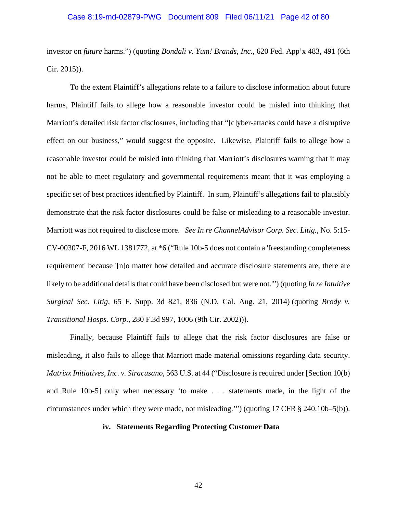# Case 8:19-md-02879-PWG Document 809 Filed 06/11/21 Page 42 of 80

investor on *future* harms.") (quoting *Bondali v. Yum! Brands, Inc.*, 620 Fed. App'x 483, 491 (6th Cir. 2015)).

To the extent Plaintiff's allegations relate to a failure to disclose information about future harms, Plaintiff fails to allege how a reasonable investor could be misled into thinking that Marriott's detailed risk factor disclosures, including that "[c]yber-attacks could have a disruptive effect on our business," would suggest the opposite. Likewise, Plaintiff fails to allege how a reasonable investor could be misled into thinking that Marriott's disclosures warning that it may not be able to meet regulatory and governmental requirements meant that it was employing a specific set of best practices identified by Plaintiff. In sum, Plaintiff's allegations fail to plausibly demonstrate that the risk factor disclosures could be false or misleading to a reasonable investor. Marriott was not required to disclose more. *See In re ChannelAdvisor Corp. Sec. Litig.*, No. 5:15- CV-00307-F, 2016 WL 1381772, at \*6 ("Rule 10b-5 does not contain a 'freestanding completeness requirement' because '[n]o matter how detailed and accurate disclosure statements are, there are likely to be additional details that could have been disclosed but were not.") (quoting *In re Intuitive Surgical Sec. Litig*, 65 F. Supp. 3d 821, 836 (N.D. Cal. Aug. 21, 2014) (quoting *Brody v. Transitional Hosps. Corp.*, 280 F.3d 997, 1006 (9th Cir. 2002))).

Finally, because Plaintiff fails to allege that the risk factor disclosures are false or misleading, it also fails to allege that Marriott made material omissions regarding data security. *Matrixx Initiatives, Inc. v. Siracusano*, 563 U.S. at 44 ("Disclosure is required under [Section 10(b) and Rule 10b-5] only when necessary 'to make . . . statements made, in the light of the circumstances under which they were made, not misleading.'") (quoting 17 CFR § 240.10b–5(b)).

# **iv. Statements Regarding Protecting Customer Data**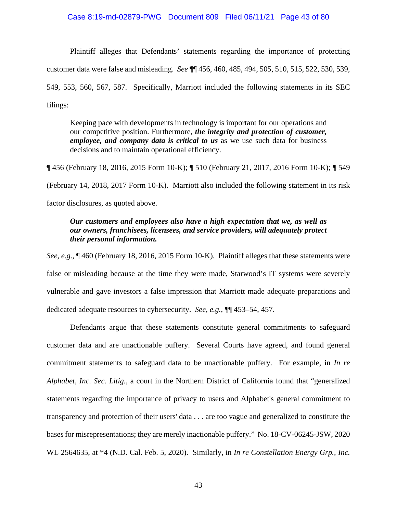# Case 8:19-md-02879-PWG Document 809 Filed 06/11/21 Page 43 of 80

Plaintiff alleges that Defendants' statements regarding the importance of protecting customer data were false and misleading. *See* ¶¶ 456, 460, 485, 494, 505, 510, 515, 522, 530, 539, 549, 553, 560, 567, 587. Specifically, Marriott included the following statements in its SEC filings:

Keeping pace with developments in technology is important for our operations and our competitive position. Furthermore, *the integrity and protection of customer, employee, and company data is critical to us* as we use such data for business decisions and to maintain operational efficiency.

¶ 456 (February 18, 2016, 2015 Form 10-K); ¶ 510 (February 21, 2017, 2016 Form 10-K); ¶ 549

(February 14, 2018, 2017 Form 10-K). Marriott also included the following statement in its risk

factor disclosures, as quoted above.

# *Our customers and employees also have a high expectation that we, as well as our owners, franchisees, licensees, and service providers, will adequately protect their personal information.*

*See, e.g.*, ¶ 460 (February 18, 2016, 2015 Form 10-K). Plaintiff alleges that these statements were false or misleading because at the time they were made, Starwood's IT systems were severely vulnerable and gave investors a false impression that Marriott made adequate preparations and dedicated adequate resources to cybersecurity. *See, e.g.*, ¶¶ 453–54, 457.

Defendants argue that these statements constitute general commitments to safeguard customer data and are unactionable puffery. Several Courts have agreed, and found general commitment statements to safeguard data to be unactionable puffery. For example, in *In re Alphabet, Inc. Sec. Litig.*, a court in the Northern District of California found that "generalized statements regarding the importance of privacy to users and Alphabet's general commitment to transparency and protection of their users' data . . . are too vague and generalized to constitute the bases for misrepresentations; they are merely inactionable puffery." No. 18-CV-06245-JSW, 2020 WL 2564635, at \*4 (N.D. Cal. Feb. 5, 2020). Similarly, in *In re Constellation Energy Grp., Inc.*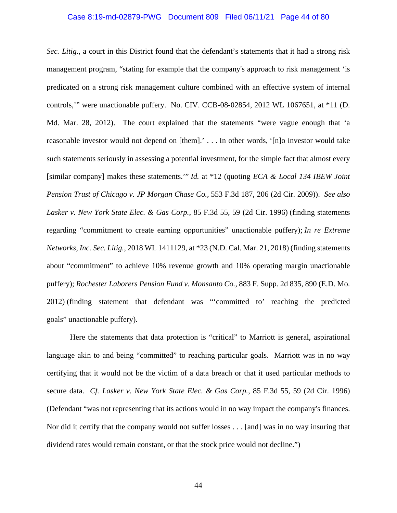# Case 8:19-md-02879-PWG Document 809 Filed 06/11/21 Page 44 of 80

*Sec. Litig.*, a court in this District found that the defendant's statements that it had a strong risk management program, "stating for example that the company's approach to risk management 'is predicated on a strong risk management culture combined with an effective system of internal controls,'" were unactionable puffery. No. CIV. CCB-08-02854, 2012 WL 1067651, at \*11 (D. Md. Mar. 28, 2012). The court explained that the statements "were vague enough that 'a reasonable investor would not depend on [them].' . . . In other words, '[n]o investor would take such statements seriously in assessing a potential investment, for the simple fact that almost every [similar company] makes these statements.'" *Id.* at \*12 (quoting *ECA & Local 134 IBEW Joint Pension Trust of Chicago v. JP Morgan Chase Co.,* 553 F.3d 187, 206 (2d Cir. 2009)). *See also Lasker v. New York State Elec. & Gas Corp.*, 85 F.3d 55, 59 (2d Cir. 1996) (finding statements regarding "commitment to create earning opportunities" unactionable puffery); *In re Extreme Networks, Inc. Sec. Litig.*, 2018 WL 1411129, at \*23 (N.D. Cal. Mar. 21, 2018) (finding statements about "commitment" to achieve 10% revenue growth and 10% operating margin unactionable puffery); *Rochester Laborers Pension Fund v. Monsanto Co.*, 883 F. Supp. 2d 835, 890 (E.D. Mo. 2012) (finding statement that defendant was "'committed to' reaching the predicted goals" unactionable puffery).

Here the statements that data protection is "critical" to Marriott is general, aspirational language akin to and being "committed" to reaching particular goals. Marriott was in no way certifying that it would not be the victim of a data breach or that it used particular methods to secure data. *Cf. Lasker v. New York State Elec. & Gas Corp.*, 85 F.3d 55, 59 (2d Cir. 1996) (Defendant "was not representing that its actions would in no way impact the company's finances. Nor did it certify that the company would not suffer losses . . . [and] was in no way insuring that dividend rates would remain constant, or that the stock price would not decline.")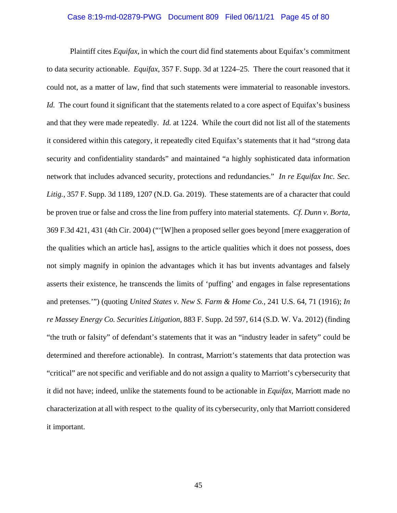# Case 8:19-md-02879-PWG Document 809 Filed 06/11/21 Page 45 of 80

Plaintiff cites *Equifax*, in which the court did find statements about Equifax's commitment to data security actionable. *Equifax*, 357 F. Supp. 3d at 1224–25. There the court reasoned that it could not, as a matter of law, find that such statements were immaterial to reasonable investors. *Id.* The court found it significant that the statements related to a core aspect of Equifax's business and that they were made repeatedly. *Id.* at 1224. While the court did not list all of the statements it considered within this category, it repeatedly cited Equifax's statements that it had "strong data security and confidentiality standards" and maintained "a highly sophisticated data information network that includes advanced security, protections and redundancies." *In re Equifax Inc. Sec. Litig.,* 357 F. Supp. 3d 1189, 1207 (N.D. Ga. 2019). These statements are of a character that could be proven true or false and cross the line from puffery into material statements. *Cf. Dunn v. Borta*, 369 F.3d 421, 431 (4th Cir. 2004) ("'[W]hen a proposed seller goes beyond [mere exaggeration of the qualities which an article has], assigns to the article qualities which it does not possess, does not simply magnify in opinion the advantages which it has but invents advantages and falsely asserts their existence, he transcends the limits of 'puffing' and engages in false representations and pretenses.'") (quoting *United States v. New S. Farm & Home Co.,* 241 U.S. 64, 71 (1916); *In re Massey Energy Co. Securities Litigation*, 883 F. Supp. 2d 597, 614 (S.D. W. Va. 2012) (finding "the truth or falsity" of defendant's statements that it was an "industry leader in safety" could be determined and therefore actionable). In contrast, Marriott's statements that data protection was "critical" are not specific and verifiable and do not assign a quality to Marriott's cybersecurity that it did not have; indeed, unlike the statements found to be actionable in *Equifax*, Marriott made no characterization at all with respect to the quality of its cybersecurity, only that Marriott considered it important.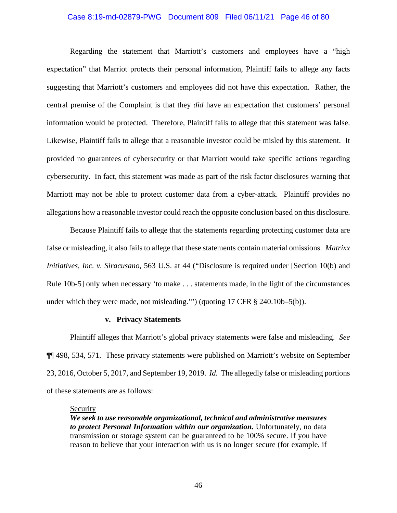# Case 8:19-md-02879-PWG Document 809 Filed 06/11/21 Page 46 of 80

Regarding the statement that Marriott's customers and employees have a "high expectation" that Marriot protects their personal information, Plaintiff fails to allege any facts suggesting that Marriott's customers and employees did not have this expectation. Rather, the central premise of the Complaint is that they *did* have an expectation that customers' personal information would be protected. Therefore, Plaintiff fails to allege that this statement was false. Likewise, Plaintiff fails to allege that a reasonable investor could be misled by this statement. It provided no guarantees of cybersecurity or that Marriott would take specific actions regarding cybersecurity. In fact, this statement was made as part of the risk factor disclosures warning that Marriott may not be able to protect customer data from a cyber-attack. Plaintiff provides no allegations how a reasonable investor could reach the opposite conclusion based on this disclosure.

Because Plaintiff fails to allege that the statements regarding protecting customer data are false or misleading, it also fails to allege that these statements contain material omissions. *Matrixx Initiatives, Inc. v. Siracusano*, 563 U.S. at 44 ("Disclosure is required under [Section 10(b) and Rule 10b-5] only when necessary 'to make . . . statements made, in the light of the circumstances under which they were made, not misleading.'") (quoting 17 CFR § 240.10b–5(b)).

#### **v. Privacy Statements**

Plaintiff alleges that Marriott's global privacy statements were false and misleading. *See* ¶¶ 498, 534, 571. These privacy statements were published on Marriott's website on September 23, 2016, October 5, 2017, and September 19, 2019. *Id.* The allegedly false or misleading portions of these statements are as follows:

# **Security**

*We seek to use reasonable organizational, technical and administrative measures to protect Personal Information within our organization.* Unfortunately, no data transmission or storage system can be guaranteed to be 100% secure. If you have reason to believe that your interaction with us is no longer secure (for example, if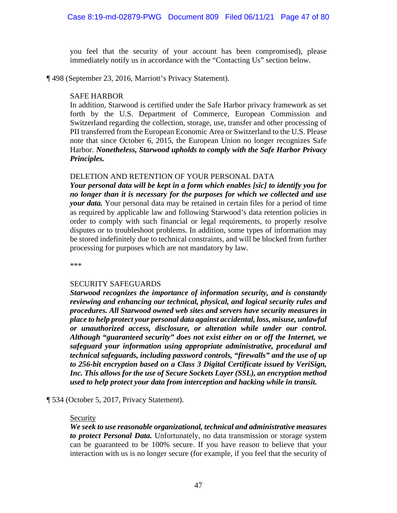you feel that the security of your account has been compromised), please immediately notify us in accordance with the "Contacting Us" section below.

¶ 498 (September 23, 2016, Marriott's Privacy Statement).

# SAFE HARBOR

In addition, Starwood is certified under the Safe Harbor privacy framework as set forth by the U.S. Department of Commerce, European Commission and Switzerland regarding the collection, storage, use, transfer and other processing of PII transferred from the European Economic Area or Switzerland to the U.S. Please note that since October 6, 2015, the European Union no longer recognizes Safe Harbor. *Nonetheless, Starwood upholds to comply with the Safe Harbor Privacy Principles.*

# DELETION AND RETENTION OF YOUR PERSONAL DATA

*Your personal data will be kept in a form which enables [sic] to identify you for no longer than it is necessary for the purposes for which we collected and use your data.* Your personal data may be retained in certain files for a period of time as required by applicable law and following Starwood's data retention policies in order to comply with such financial or legal requirements, to properly resolve disputes or to troubleshoot problems. In addition, some types of information may be stored indefinitely due to technical constraints, and will be blocked from further processing for purposes which are not mandatory by law.

\*\*\*

# SECURITY SAFEGUARDS

*Starwood recognizes the importance of information security, and is constantly reviewing and enhancing our technical, physical, and logical security rules and procedures. All Starwood owned web sites and servers have security measures in place to help protect your personal data against accidental, loss, misuse, unlawful or unauthorized access, disclosure, or alteration while under our control. Although "guaranteed security" does not exist either on or off the Internet, we safeguard your information using appropriate administrative, procedural and technical safeguards, including password controls, "firewalls" and the use of up to 256-bit encryption based on a Class 3 Digital Certificate issued by VeriSign, Inc. This allows for the use of Secure Sockets Layer (SSL), an encryption method used to help protect your data from interception and hacking while in transit.*

¶ 534 (October 5, 2017, Privacy Statement).

# Security

*We seek to use reasonable organizational, technical and administrative measures to protect Personal Data.* Unfortunately, no data transmission or storage system can be guaranteed to be 100% secure. If you have reason to believe that your interaction with us is no longer secure (for example, if you feel that the security of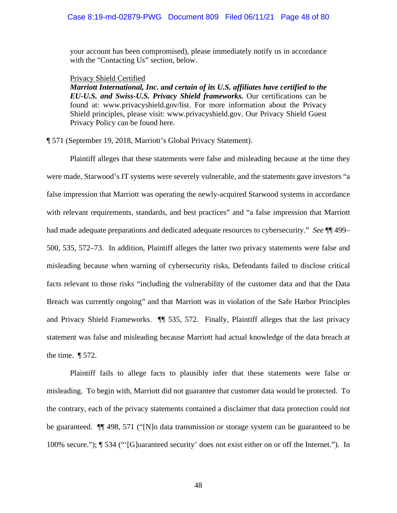your account has been compromised), please immediately notify us in accordance with the "Contacting Us" section, below.

#### Privacy Shield Certified

*Marriott International, Inc. and certain of its U.S. affiliates have certified to the EU-U.S. and Swiss-U.S. Privacy Shield frameworks.* Our certifications can be found at: www.privacyshield.gov/list. For more information about the Privacy Shield principles, please visit: www.privacyshield.gov. Our Privacy Shield Guest Privacy Policy can be found here.

¶ 571 (September 19, 2018, Marriott's Global Privacy Statement).

Plaintiff alleges that these statements were false and misleading because at the time they were made, Starwood's IT systems were severely vulnerable, and the statements gave investors "a false impression that Marriott was operating the newly-acquired Starwood systems in accordance with relevant requirements, standards, and best practices" and "a false impression that Marriott had made adequate preparations and dedicated adequate resources to cybersecurity." *See* ¶¶ 499– 500, 535, 572–73. In addition, Plaintiff alleges the latter two privacy statements were false and misleading because when warning of cybersecurity risks, Defendants failed to disclose critical facts relevant to those risks "including the vulnerability of the customer data and that the Data Breach was currently ongoing" and that Marriott was in violation of the Safe Harbor Principles and Privacy Shield Frameworks. ¶¶ 535, 572. Finally, Plaintiff alleges that the last privacy statement was false and misleading because Marriott had actual knowledge of the data breach at the time. ¶ 572.

Plaintiff fails to allege facts to plausibly infer that these statements were false or misleading. To begin with, Marriott did not guarantee that customer data would be protected. To the contrary, each of the privacy statements contained a disclaimer that data protection could not be guaranteed. ¶¶ 498, 571 ("[N]o data transmission or storage system can be guaranteed to be 100% secure."); ¶ 534 ("'[G]uaranteed security' does not exist either on or off the Internet."). In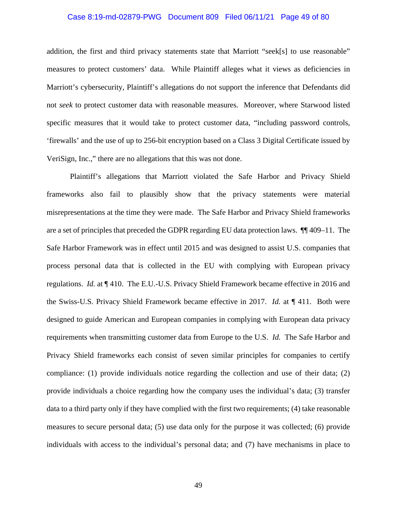# Case 8:19-md-02879-PWG Document 809 Filed 06/11/21 Page 49 of 80

addition, the first and third privacy statements state that Marriott "seek[s] to use reasonable" measures to protect customers' data. While Plaintiff alleges what it views as deficiencies in Marriott's cybersecurity, Plaintiff's allegations do not support the inference that Defendants did not *seek* to protect customer data with reasonable measures. Moreover, where Starwood listed specific measures that it would take to protect customer data, "including password controls, 'firewalls' and the use of up to 256-bit encryption based on a Class 3 Digital Certificate issued by VeriSign, Inc.," there are no allegations that this was not done.

Plaintiff's allegations that Marriott violated the Safe Harbor and Privacy Shield frameworks also fail to plausibly show that the privacy statements were material misrepresentations at the time they were made. The Safe Harbor and Privacy Shield frameworks are a set of principles that preceded the GDPR regarding EU data protection laws. ¶¶ 409–11. The Safe Harbor Framework was in effect until 2015 and was designed to assist U.S. companies that process personal data that is collected in the EU with complying with European privacy regulations. *Id.* at ¶ 410. The E.U.-U.S. Privacy Shield Framework became effective in 2016 and the Swiss-U.S. Privacy Shield Framework became effective in 2017. *Id.* at ¶ 411. Both were designed to guide American and European companies in complying with European data privacy requirements when transmitting customer data from Europe to the U.S. *Id.* The Safe Harbor and Privacy Shield frameworks each consist of seven similar principles for companies to certify compliance: (1) provide individuals notice regarding the collection and use of their data; (2) provide individuals a choice regarding how the company uses the individual's data; (3) transfer data to a third party only if they have complied with the first two requirements; (4) take reasonable measures to secure personal data; (5) use data only for the purpose it was collected; (6) provide individuals with access to the individual's personal data; and (7) have mechanisms in place to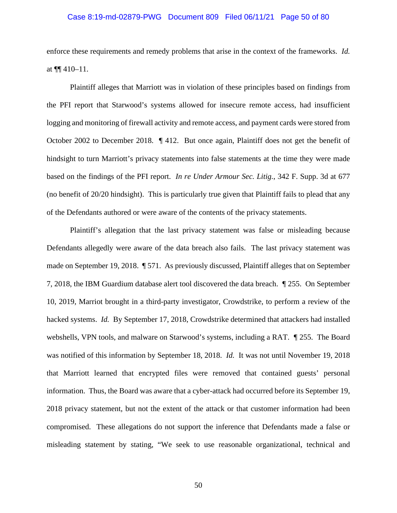# Case 8:19-md-02879-PWG Document 809 Filed 06/11/21 Page 50 of 80

enforce these requirements and remedy problems that arise in the context of the frameworks. *Id.* at  $\P\P$  410–11.

Plaintiff alleges that Marriott was in violation of these principles based on findings from the PFI report that Starwood's systems allowed for insecure remote access, had insufficient logging and monitoring of firewall activity and remote access, and payment cards were stored from October 2002 to December 2018. ¶ 412. But once again, Plaintiff does not get the benefit of hindsight to turn Marriott's privacy statements into false statements at the time they were made based on the findings of the PFI report. *In re Under Armour Sec. Litig.*, 342 F. Supp. 3d at 677 (no benefit of 20/20 hindsight). This is particularly true given that Plaintiff fails to plead that any of the Defendants authored or were aware of the contents of the privacy statements.

Plaintiff's allegation that the last privacy statement was false or misleading because Defendants allegedly were aware of the data breach also fails. The last privacy statement was made on September 19, 2018. ¶ 571. As previously discussed, Plaintiff alleges that on September 7, 2018, the IBM Guardium database alert tool discovered the data breach. *¶* 255. On September 10, 2019, Marriot brought in a third-party investigator, Crowdstrike, to perform a review of the hacked systems. *Id.* By September 17, 2018, Crowdstrike determined that attackers had installed webshells, VPN tools, and malware on Starwood's systems, including a RAT. *¶* 255. The Board was notified of this information by September 18, 2018. *Id.* It was not until November 19, 2018 that Marriott learned that encrypted files were removed that contained guests' personal information. Thus, the Board was aware that a cyber-attack had occurred before its September 19, 2018 privacy statement, but not the extent of the attack or that customer information had been compromised. These allegations do not support the inference that Defendants made a false or misleading statement by stating, "We seek to use reasonable organizational, technical and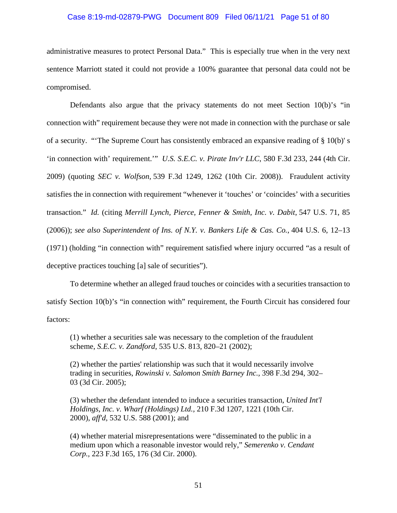# Case 8:19-md-02879-PWG Document 809 Filed 06/11/21 Page 51 of 80

administrative measures to protect Personal Data." This is especially true when in the very next sentence Marriott stated it could not provide a 100% guarantee that personal data could not be compromised.

Defendants also argue that the privacy statements do not meet Section 10(b)'s "in connection with" requirement because they were not made in connection with the purchase or sale of a security. "'The Supreme Court has consistently embraced an expansive reading of § 10(b)' s 'in connection with' requirement.'" *U.S. S.E.C. v. Pirate Inv'r LLC*, 580 F.3d 233, 244 (4th Cir. 2009) (quoting *SEC v. Wolfson,* 539 F.3d 1249, 1262 (10th Cir. 2008)). Fraudulent activity satisfies the in connection with requirement "whenever it 'touches' or 'coincides' with a securities transaction." *Id.* (citing *Merrill Lynch, Pierce, Fenner & Smith, Inc. v. Dabit*, 547 U.S. 71, 85 (2006)); *see also Superintendent of Ins. of N.Y. v. Bankers Life & Cas. Co.*, 404 U.S. 6, 12–13 (1971) (holding "in connection with" requirement satisfied where injury occurred "as a result of deceptive practices touching [a] sale of securities").

To determine whether an alleged fraud touches or coincides with a securities transaction to satisfy Section 10(b)'s "in connection with" requirement, the Fourth Circuit has considered four factors:

(1) whether a securities sale was necessary to the completion of the fraudulent scheme, *S.E.C. v. Zandford*, 535 U.S. 813, 820–21 (2002);

(2) whether the parties' relationship was such that it would necessarily involve trading in securities, *Rowinski v. Salomon Smith Barney Inc.,* 398 F.3d 294, 302– 03 (3d Cir. 2005);

(3) whether the defendant intended to induce a securities transaction, *United Int'l Holdings, Inc. v. Wharf (Holdings) Ltd.,* 210 F.3d 1207, 1221 (10th Cir. 2000), *aff'd,* 532 U.S. 588 (2001); and

(4) whether material misrepresentations were "disseminated to the public in a medium upon which a reasonable investor would rely," *Semerenko v. Cendant Corp.,* 223 F.3d 165, 176 (3d Cir. 2000).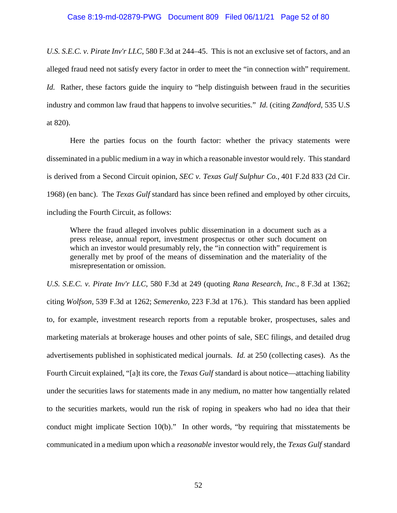# Case 8:19-md-02879-PWG Document 809 Filed 06/11/21 Page 52 of 80

*U.S. S.E.C. v. Pirate Inv'r LLC*, 580 F.3d at 244–45. This is not an exclusive set of factors, and an alleged fraud need not satisfy every factor in order to meet the "in connection with" requirement. *Id.* Rather, these factors guide the inquiry to "help distinguish between fraud in the securities" industry and common law fraud that happens to involve securities." *Id.* (citing *Zandford*, 535 U.S at 820).

Here the parties focus on the fourth factor: whether the privacy statements were disseminated in a public medium in a way in which a reasonable investor would rely. This standard is derived from a Second Circuit opinion, *SEC v. Texas Gulf Sulphur Co.*, 401 F.2d 833 (2d Cir. 1968) (en banc). The *Texas Gulf* standard has since been refined and employed by other circuits, including the Fourth Circuit, as follows:

Where the fraud alleged involves public dissemination in a document such as a press release, annual report, investment prospectus or other such document on which an investor would presumably rely, the "in connection with" requirement is generally met by proof of the means of dissemination and the materiality of the misrepresentation or omission.

*U.S. S.E.C. v. Pirate Inv'r LLC*, 580 F.3d at 249 (quoting *Rana Research, Inc.,* 8 F.3d at 1362; citing *Wolfson,* 539 F.3d at 1262; *Semerenko,* 223 F.3d at 176.). This standard has been applied to, for example, investment research reports from a reputable broker, prospectuses, sales and marketing materials at brokerage houses and other points of sale, SEC filings, and detailed drug advertisements published in sophisticated medical journals. *Id.* at 250 (collecting cases). As the Fourth Circuit explained, "[a]t its core, the *Texas Gulf* standard is about notice—attaching liability under the securities laws for statements made in any medium, no matter how tangentially related to the securities markets, would run the risk of roping in speakers who had no idea that their conduct might implicate Section 10(b)." In other words, "by requiring that misstatements be communicated in a medium upon which a *reasonable* investor would rely, the *Texas Gulf* standard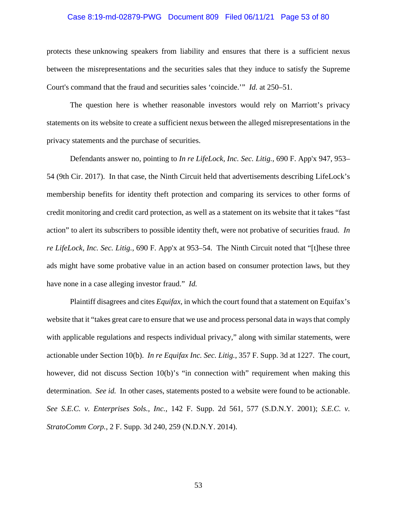# Case 8:19-md-02879-PWG Document 809 Filed 06/11/21 Page 53 of 80

protects these unknowing speakers from liability and ensures that there is a sufficient nexus between the misrepresentations and the securities sales that they induce to satisfy the Supreme Court's command that the fraud and securities sales 'coincide.'" *Id.* at 250–51.

The question here is whether reasonable investors would rely on Marriott's privacy statements on its website to create a sufficient nexus between the alleged misrepresentations in the privacy statements and the purchase of securities.

Defendants answer no, pointing to *In re LifeLock, Inc. Sec. Litig.*, 690 F. App'x 947, 953– 54 (9th Cir. 2017). In that case, the Ninth Circuit held that advertisements describing LifeLock's membership benefits for identity theft protection and comparing its services to other forms of credit monitoring and credit card protection, as well as a statement on its website that it takes "fast action" to alert its subscribers to possible identity theft, were not probative of securities fraud. *In re LifeLock, Inc. Sec. Litig.*, 690 F. App'x at 953–54. The Ninth Circuit noted that "[t]hese three ads might have some probative value in an action based on consumer protection laws, but they have none in a case alleging investor fraud." *Id.*

Plaintiff disagrees and cites *Equifax*, in which the court found that a statement on Equifax's website that it "takes great care to ensure that we use and process personal data in ways that comply with applicable regulations and respects individual privacy," along with similar statements, were actionable under Section 10(b). *In re Equifax Inc. Sec. Litig.*, 357 F. Supp. 3d at 1227. The court, however, did not discuss Section 10(b)'s "in connection with" requirement when making this determination. *See id.* In other cases, statements posted to a website were found to be actionable. *See S.E.C. v. Enterprises Sols., Inc.*, 142 F. Supp. 2d 561, 577 (S.D.N.Y. 2001); *S.E.C. v. StratoComm Corp.*, 2 F. Supp. 3d 240, 259 (N.D.N.Y. 2014).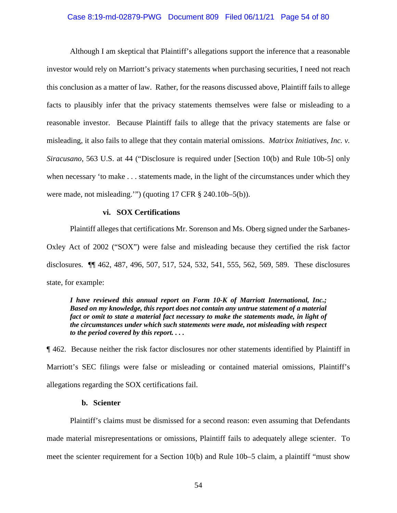# Case 8:19-md-02879-PWG Document 809 Filed 06/11/21 Page 54 of 80

Although I am skeptical that Plaintiff's allegations support the inference that a reasonable investor would rely on Marriott's privacy statements when purchasing securities, I need not reach this conclusion as a matter of law. Rather, for the reasons discussed above, Plaintiff fails to allege facts to plausibly infer that the privacy statements themselves were false or misleading to a reasonable investor. Because Plaintiff fails to allege that the privacy statements are false or misleading, it also fails to allege that they contain material omissions. *Matrixx Initiatives, Inc. v. Siracusano*, 563 U.S. at 44 ("Disclosure is required under [Section 10(b) and Rule 10b-5] only when necessary 'to make . . . statements made, in the light of the circumstances under which they were made, not misleading.'") (quoting 17 CFR § 240.10b–5(b)).

#### **vi. SOX Certifications**

Plaintiff alleges that certifications Mr. Sorenson and Ms. Oberg signed under the Sarbanes-Oxley Act of 2002 ("SOX") were false and misleading because they certified the risk factor disclosures. ¶¶ 462, 487, 496, 507, 517, 524, 532, 541, 555, 562, 569, 589. These disclosures state, for example:

*I have reviewed this annual report on Form 10-K of Marriott International, Inc.; Based on my knowledge, this report does not contain any untrue statement of a material fact or omit to state a material fact necessary to make the statements made, in light of the circumstances under which such statements were made, not misleading with respect to the period covered by this report. . . .*

¶ 462. Because neither the risk factor disclosures nor other statements identified by Plaintiff in Marriott's SEC filings were false or misleading or contained material omissions, Plaintiff's allegations regarding the SOX certifications fail.

# **b. Scienter**

Plaintiff's claims must be dismissed for a second reason: even assuming that Defendants made material misrepresentations or omissions, Plaintiff fails to adequately allege scienter. To meet the scienter requirement for a Section 10(b) and Rule 10b–5 claim, a plaintiff "must show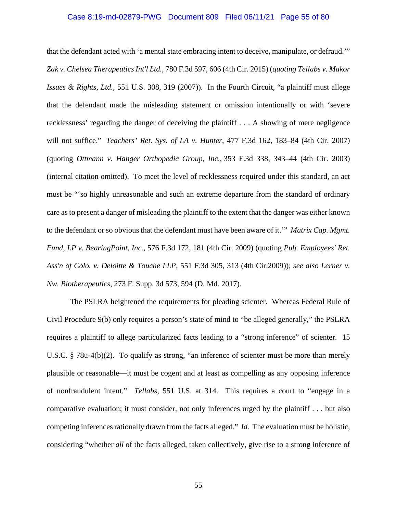# Case 8:19-md-02879-PWG Document 809 Filed 06/11/21 Page 55 of 80

that the defendant acted with 'a mental state embracing intent to deceive, manipulate, or defraud.'" *Zak v. Chelsea Therapeutics Int'l Ltd.*, 780 F.3d 597, 606 (4th Cir. 2015) (*quoting Tellabs v. Makor Issues & Rights, Ltd.*, 551 U.S. 308, 319 (2007)). In the Fourth Circuit, "a plaintiff must allege that the defendant made the misleading statement or omission intentionally or with 'severe recklessness' regarding the danger of deceiving the plaintiff . . . A showing of mere negligence will not suffice." *Teachers' Ret. Sys. of LA v. Hunter*, 477 F.3d 162, 183–84 (4th Cir. 2007) (quoting *Ottmann v. Hanger Orthopedic Group, Inc.*, 353 F.3d 338, 343–44 (4th Cir. 2003) (internal citation omitted). To meet the level of recklessness required under this standard, an act must be "'so highly unreasonable and such an extreme departure from the standard of ordinary care as to present a danger of misleading the plaintiff to the extent that the danger was either known to the defendant or so obvious that the defendant must have been aware of it.'" *Matrix Cap. Mgmt. Fund, LP v. BearingPoint, Inc.*, 576 F.3d 172, 181 (4th Cir. 2009) (quoting *Pub. Employees' Ret. Ass'n of Colo. v. Deloitte & Touche LLP*, 551 F.3d 305, 313 (4th Cir.2009)); *see also Lerner v. Nw. Biotherapeutics*, 273 F. Supp. 3d 573, 594 (D. Md. 2017).

The PSLRA heightened the requirements for pleading scienter. Whereas Federal Rule of Civil Procedure 9(b) only requires a person's state of mind to "be alleged generally," the PSLRA requires a plaintiff to allege particularized facts leading to a "strong inference" of scienter. 15 U.S.C. § 78u-4(b)(2). To qualify as strong, "an inference of scienter must be more than merely plausible or reasonable—it must be cogent and at least as compelling as any opposing inference of nonfraudulent intent*.*" *Tellabs*, 551 U.S. at 314. This requires a court to "engage in a comparative evaluation; it must consider, not only inferences urged by the plaintiff . . . but also competing inferences rationally drawn from the facts alleged." *Id.* The evaluation must be holistic, considering "whether *all* of the facts alleged, taken collectively, give rise to a strong inference of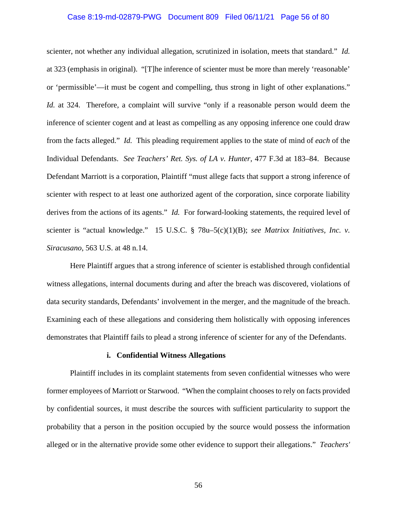# Case 8:19-md-02879-PWG Document 809 Filed 06/11/21 Page 56 of 80

scienter, not whether any individual allegation, scrutinized in isolation, meets that standard." *Id.* at 323 (emphasis in original). "[T]he inference of scienter must be more than merely 'reasonable' or 'permissible'—it must be cogent and compelling, thus strong in light of other explanations." *Id.* at 324. Therefore, a complaint will survive "only if a reasonable person would deem the inference of scienter cogent and at least as compelling as any opposing inference one could draw from the facts alleged." *Id.* This pleading requirement applies to the state of mind of *each* of the Individual Defendants. *See Teachers' Ret. Sys. of LA v. Hunter*, 477 F.3d at 183–84. Because Defendant Marriott is a corporation, Plaintiff "must allege facts that support a strong inference of scienter with respect to at least one authorized agent of the corporation, since corporate liability derives from the actions of its agents." *Id.* For forward-looking statements, the required level of scienter is "actual knowledge." 15 U.S.C. § 78u–5(c)(1)(B); *see Matrixx Initiatives, Inc. v. Siracusano*, 563 U.S. at 48 n.14.

Here Plaintiff argues that a strong inference of scienter is established through confidential witness allegations, internal documents during and after the breach was discovered, violations of data security standards, Defendants' involvement in the merger, and the magnitude of the breach. Examining each of these allegations and considering them holistically with opposing inferences demonstrates that Plaintiff fails to plead a strong inference of scienter for any of the Defendants.

#### **i. Confidential Witness Allegations**

Plaintiff includes in its complaint statements from seven confidential witnesses who were former employees of Marriott or Starwood. "When the complaint chooses to rely on facts provided by confidential sources, it must describe the sources with sufficient particularity to support the probability that a person in the position occupied by the source would possess the information alleged or in the alternative provide some other evidence to support their allegations." *Teachers'*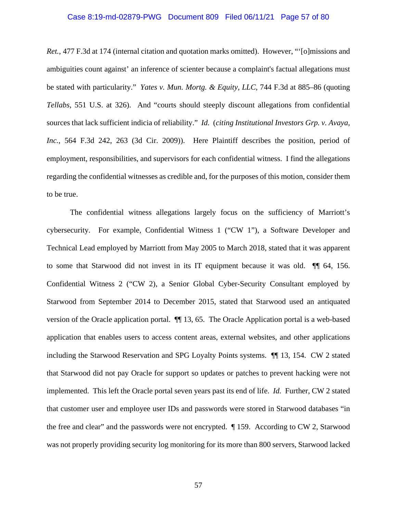# Case 8:19-md-02879-PWG Document 809 Filed 06/11/21 Page 57 of 80

*Ret.*, 477 F.3d at 174 (internal citation and quotation marks omitted). However, "[o]missions and ambiguities count against' an inference of scienter because a complaint's factual allegations must be stated with particularity." *Yates v. Mun. Mortg. & Equity, LLC*, 744 F.3d at 885–86 (quoting *Tellabs*, 551 U.S. at 326). And "courts should steeply discount allegations from confidential sources that lack sufficient indicia of reliability." *Id.* (*citing Institutional Investors Grp. v. Avaya, Inc.*, 564 F.3d 242, 263 (3d Cir. 2009)). Here Plaintiff describes the position, period of employment, responsibilities, and supervisors for each confidential witness. I find the allegations regarding the confidential witnesses as credible and, for the purposes of this motion, consider them to be true.

The confidential witness allegations largely focus on the sufficiency of Marriott's cybersecurity. For example, Confidential Witness 1 ("CW 1"), a Software Developer and Technical Lead employed by Marriott from May 2005 to March 2018, stated that it was apparent to some that Starwood did not invest in its IT equipment because it was old. ¶¶ 64, 156. Confidential Witness 2 ("CW 2), a Senior Global Cyber-Security Consultant employed by Starwood from September 2014 to December 2015, stated that Starwood used an antiquated version of the Oracle application portal. ¶¶ 13, 65. The Oracle Application portal is a web-based application that enables users to access content areas, external websites, and other applications including the Starwood Reservation and SPG Loyalty Points systems. ¶¶ 13, 154. CW 2 stated that Starwood did not pay Oracle for support so updates or patches to prevent hacking were not implemented. This left the Oracle portal seven years past its end of life. *Id.* Further, CW 2 stated that customer user and employee user IDs and passwords were stored in Starwood databases "in the free and clear" and the passwords were not encrypted. ¶ 159. According to CW 2, Starwood was not properly providing security log monitoring for its more than 800 servers, Starwood lacked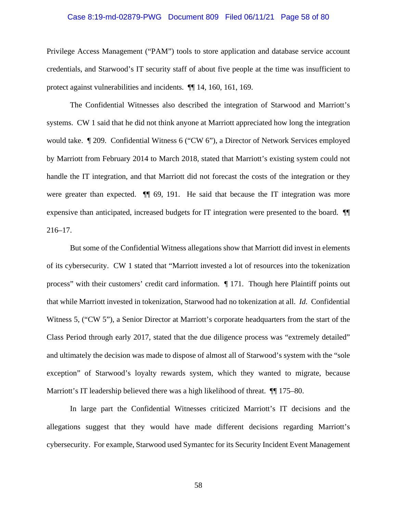# Case 8:19-md-02879-PWG Document 809 Filed 06/11/21 Page 58 of 80

Privilege Access Management ("PAM") tools to store application and database service account credentials, and Starwood's IT security staff of about five people at the time was insufficient to protect against vulnerabilities and incidents. ¶¶ 14, 160, 161, 169.

The Confidential Witnesses also described the integration of Starwood and Marriott's systems. CW 1 said that he did not think anyone at Marriott appreciated how long the integration would take. ¶ 209. Confidential Witness 6 ("CW 6"), a Director of Network Services employed by Marriott from February 2014 to March 2018, stated that Marriott's existing system could not handle the IT integration, and that Marriott did not forecast the costs of the integration or they were greater than expected.  $\P$  69, 191. He said that because the IT integration was more expensive than anticipated, increased budgets for IT integration were presented to the board. ¶¶ 216–17.

But some of the Confidential Witness allegations show that Marriott did invest in elements of its cybersecurity. CW 1 stated that "Marriott invested a lot of resources into the tokenization process" with their customers' credit card information. ¶ 171. Though here Plaintiff points out that while Marriott invested in tokenization, Starwood had no tokenization at all. *Id.* Confidential Witness 5, ("CW 5"), a Senior Director at Marriott's corporate headquarters from the start of the Class Period through early 2017, stated that the due diligence process was "extremely detailed" and ultimately the decision was made to dispose of almost all of Starwood's system with the "sole exception" of Starwood's loyalty rewards system, which they wanted to migrate, because Marriott's IT leadership believed there was a high likelihood of threat.  $\P$  175–80.

In large part the Confidential Witnesses criticized Marriott's IT decisions and the allegations suggest that they would have made different decisions regarding Marriott's cybersecurity. For example, Starwood used Symantec for its Security Incident Event Management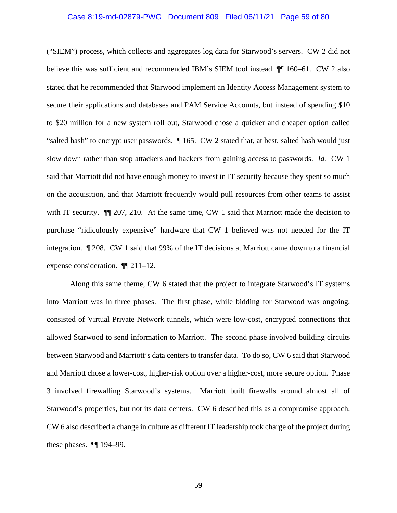# Case 8:19-md-02879-PWG Document 809 Filed 06/11/21 Page 59 of 80

("SIEM") process, which collects and aggregates log data for Starwood's servers. CW 2 did not believe this was sufficient and recommended IBM's SIEM tool instead. ¶¶ 160–61. CW 2 also stated that he recommended that Starwood implement an Identity Access Management system to secure their applications and databases and PAM Service Accounts, but instead of spending \$10 to \$20 million for a new system roll out, Starwood chose a quicker and cheaper option called "salted hash" to encrypt user passwords. ¶ 165. CW 2 stated that, at best, salted hash would just slow down rather than stop attackers and hackers from gaining access to passwords. *Id.* CW 1 said that Marriott did not have enough money to invest in IT security because they spent so much on the acquisition, and that Marriott frequently would pull resources from other teams to assist with IT security.  $\P$  207, 210. At the same time, CW 1 said that Marriott made the decision to purchase "ridiculously expensive" hardware that CW 1 believed was not needed for the IT integration. ¶ 208. CW 1 said that 99% of the IT decisions at Marriott came down to a financial expense consideration. ¶¶ 211–12.

Along this same theme, CW 6 stated that the project to integrate Starwood's IT systems into Marriott was in three phases. The first phase, while bidding for Starwood was ongoing, consisted of Virtual Private Network tunnels, which were low-cost, encrypted connections that allowed Starwood to send information to Marriott. The second phase involved building circuits between Starwood and Marriott's data centers to transfer data. To do so, CW 6 said that Starwood and Marriott chose a lower-cost, higher-risk option over a higher-cost, more secure option. Phase 3 involved firewalling Starwood's systems. Marriott built firewalls around almost all of Starwood's properties, but not its data centers. CW 6 described this as a compromise approach. CW 6 also described a change in culture as different IT leadership took charge of the project during these phases. ¶¶ 194–99.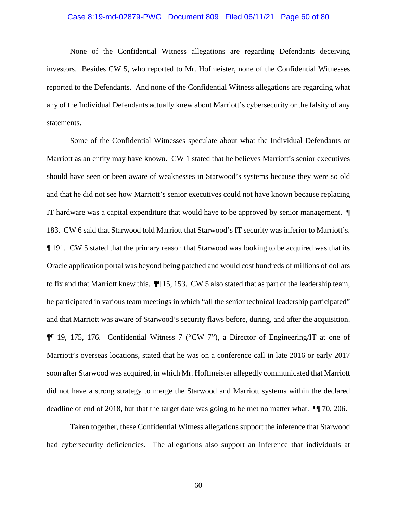# Case 8:19-md-02879-PWG Document 809 Filed 06/11/21 Page 60 of 80

None of the Confidential Witness allegations are regarding Defendants deceiving investors. Besides CW 5, who reported to Mr. Hofmeister, none of the Confidential Witnesses reported to the Defendants. And none of the Confidential Witness allegations are regarding what any of the Individual Defendants actually knew about Marriott's cybersecurity or the falsity of any statements.

Some of the Confidential Witnesses speculate about what the Individual Defendants or Marriott as an entity may have known. CW 1 stated that he believes Marriott's senior executives should have seen or been aware of weaknesses in Starwood's systems because they were so old and that he did not see how Marriott's senior executives could not have known because replacing IT hardware was a capital expenditure that would have to be approved by senior management. ¶ 183. CW 6 said that Starwood told Marriott that Starwood's IT security was inferior to Marriott's. ¶ 191. CW 5 stated that the primary reason that Starwood was looking to be acquired was that its Oracle application portal was beyond being patched and would cost hundreds of millions of dollars to fix and that Marriott knew this. ¶¶ 15, 153. CW 5 also stated that as part of the leadership team, he participated in various team meetings in which "all the senior technical leadership participated" and that Marriott was aware of Starwood's security flaws before, during, and after the acquisition. ¶¶ 19, 175, 176. Confidential Witness 7 ("CW 7"), a Director of Engineering/IT at one of Marriott's overseas locations, stated that he was on a conference call in late 2016 or early 2017 soon after Starwood was acquired, in which Mr. Hoffmeister allegedly communicated that Marriott did not have a strong strategy to merge the Starwood and Marriott systems within the declared deadline of end of 2018, but that the target date was going to be met no matter what. ¶¶ 70, 206.

Taken together, these Confidential Witness allegations support the inference that Starwood had cybersecurity deficiencies. The allegations also support an inference that individuals at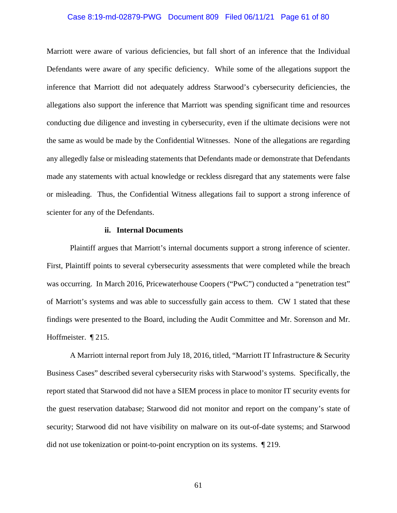# Case 8:19-md-02879-PWG Document 809 Filed 06/11/21 Page 61 of 80

Marriott were aware of various deficiencies, but fall short of an inference that the Individual Defendants were aware of any specific deficiency. While some of the allegations support the inference that Marriott did not adequately address Starwood's cybersecurity deficiencies, the allegations also support the inference that Marriott was spending significant time and resources conducting due diligence and investing in cybersecurity, even if the ultimate decisions were not the same as would be made by the Confidential Witnesses. None of the allegations are regarding any allegedly false or misleading statements that Defendants made or demonstrate that Defendants made any statements with actual knowledge or reckless disregard that any statements were false or misleading. Thus, the Confidential Witness allegations fail to support a strong inference of scienter for any of the Defendants.

### **ii. Internal Documents**

Plaintiff argues that Marriott's internal documents support a strong inference of scienter. First, Plaintiff points to several cybersecurity assessments that were completed while the breach was occurring. In March 2016, Pricewaterhouse Coopers ("PwC") conducted a "penetration test" of Marriott's systems and was able to successfully gain access to them. CW 1 stated that these findings were presented to the Board, including the Audit Committee and Mr. Sorenson and Mr. Hoffmeister. ¶ 215.

A Marriott internal report from July 18, 2016, titled, "Marriott IT Infrastructure & Security Business Cases" described several cybersecurity risks with Starwood's systems. Specifically, the report stated that Starwood did not have a SIEM process in place to monitor IT security events for the guest reservation database; Starwood did not monitor and report on the company's state of security; Starwood did not have visibility on malware on its out-of-date systems; and Starwood did not use tokenization or point-to-point encryption on its systems. ¶ 219.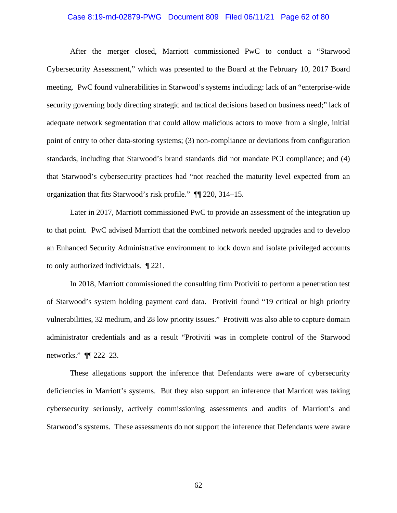# Case 8:19-md-02879-PWG Document 809 Filed 06/11/21 Page 62 of 80

After the merger closed, Marriott commissioned PwC to conduct a "Starwood Cybersecurity Assessment," which was presented to the Board at the February 10, 2017 Board meeting. PwC found vulnerabilities in Starwood's systems including: lack of an "enterprise-wide security governing body directing strategic and tactical decisions based on business need;" lack of adequate network segmentation that could allow malicious actors to move from a single, initial point of entry to other data-storing systems; (3) non-compliance or deviations from configuration standards, including that Starwood's brand standards did not mandate PCI compliance; and (4) that Starwood's cybersecurity practices had "not reached the maturity level expected from an organization that fits Starwood's risk profile." ¶¶ 220, 314–15.

Later in 2017, Marriott commissioned PwC to provide an assessment of the integration up to that point. PwC advised Marriott that the combined network needed upgrades and to develop an Enhanced Security Administrative environment to lock down and isolate privileged accounts to only authorized individuals. ¶ 221.

In 2018, Marriott commissioned the consulting firm Protiviti to perform a penetration test of Starwood's system holding payment card data. Protiviti found "19 critical or high priority vulnerabilities, 32 medium, and 28 low priority issues." Protiviti was also able to capture domain administrator credentials and as a result "Protiviti was in complete control of the Starwood networks." ¶¶ 222–23.

These allegations support the inference that Defendants were aware of cybersecurity deficiencies in Marriott's systems. But they also support an inference that Marriott was taking cybersecurity seriously, actively commissioning assessments and audits of Marriott's and Starwood's systems. These assessments do not support the inference that Defendants were aware

62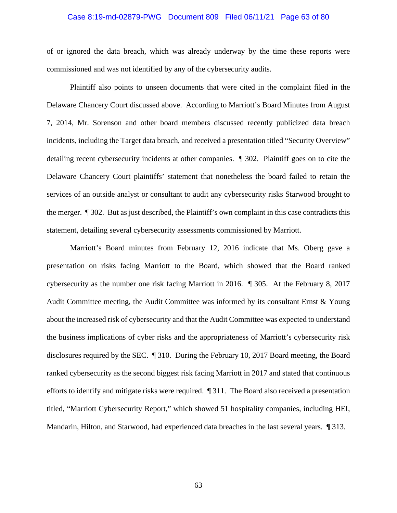# Case 8:19-md-02879-PWG Document 809 Filed 06/11/21 Page 63 of 80

of or ignored the data breach, which was already underway by the time these reports were commissioned and was not identified by any of the cybersecurity audits.

Plaintiff also points to unseen documents that were cited in the complaint filed in the Delaware Chancery Court discussed above. According to Marriott's Board Minutes from August 7, 2014, Mr. Sorenson and other board members discussed recently publicized data breach incidents, including the Target data breach, and received a presentation titled "Security Overview" detailing recent cybersecurity incidents at other companies. ¶ 302. Plaintiff goes on to cite the Delaware Chancery Court plaintiffs' statement that nonetheless the board failed to retain the services of an outside analyst or consultant to audit any cybersecurity risks Starwood brought to the merger. ¶ 302. But as just described, the Plaintiff's own complaint in this case contradicts this statement, detailing several cybersecurity assessments commissioned by Marriott.

Marriott's Board minutes from February 12, 2016 indicate that Ms. Oberg gave a presentation on risks facing Marriott to the Board, which showed that the Board ranked cybersecurity as the number one risk facing Marriott in 2016. ¶ 305. At the February 8, 2017 Audit Committee meeting, the Audit Committee was informed by its consultant Ernst  $\&$  Young about the increased risk of cybersecurity and that the Audit Committee was expected to understand the business implications of cyber risks and the appropriateness of Marriott's cybersecurity risk disclosures required by the SEC. ¶ 310. During the February 10, 2017 Board meeting, the Board ranked cybersecurity as the second biggest risk facing Marriott in 2017 and stated that continuous efforts to identify and mitigate risks were required. ¶ 311. The Board also received a presentation titled, "Marriott Cybersecurity Report," which showed 51 hospitality companies, including HEI, Mandarin, Hilton, and Starwood, had experienced data breaches in the last several years. ¶ 313.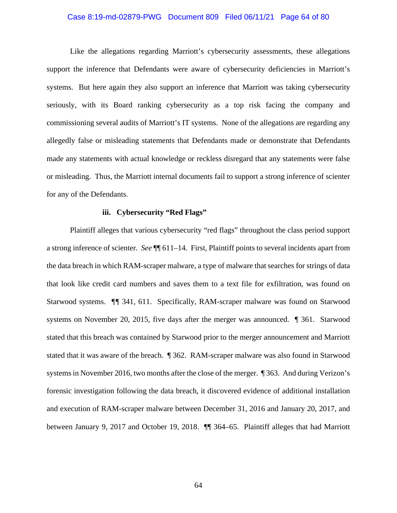# Case 8:19-md-02879-PWG Document 809 Filed 06/11/21 Page 64 of 80

Like the allegations regarding Marriott's cybersecurity assessments, these allegations support the inference that Defendants were aware of cybersecurity deficiencies in Marriott's systems. But here again they also support an inference that Marriott was taking cybersecurity seriously, with its Board ranking cybersecurity as a top risk facing the company and commissioning several audits of Marriott's IT systems. None of the allegations are regarding any allegedly false or misleading statements that Defendants made or demonstrate that Defendants made any statements with actual knowledge or reckless disregard that any statements were false or misleading. Thus, the Marriott internal documents fail to support a strong inference of scienter for any of the Defendants.

#### **iii. Cybersecurity "Red Flags"**

Plaintiff alleges that various cybersecurity "red flags" throughout the class period support a strong inference of scienter. *See* ¶¶ 611–14. First, Plaintiff points to several incidents apart from the data breach in which RAM-scraper malware, a type of malware that searches for strings of data that look like credit card numbers and saves them to a text file for exfiltration, was found on Starwood systems. *¶¶* 341, 611. Specifically, RAM-scraper malware was found on Starwood systems on November 20, 2015, five days after the merger was announced. ¶ 361. Starwood stated that this breach was contained by Starwood prior to the merger announcement and Marriott stated that it was aware of the breach. ¶ 362. RAM-scraper malware was also found in Starwood systems in November 2016, two months after the close of the merger. ¶ 363. And during Verizon's forensic investigation following the data breach, it discovered evidence of additional installation and execution of RAM-scraper malware between December 31, 2016 and January 20, 2017, and between January 9, 2017 and October 19, 2018. ¶¶ 364–65. Plaintiff alleges that had Marriott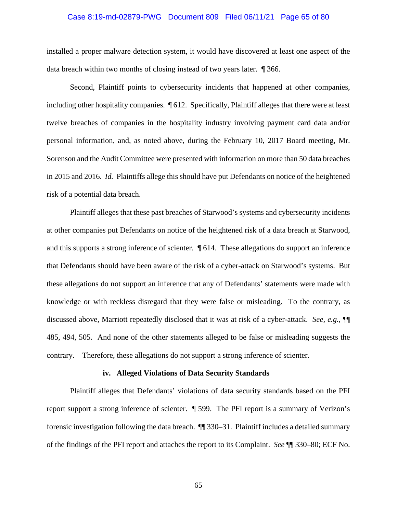# Case 8:19-md-02879-PWG Document 809 Filed 06/11/21 Page 65 of 80

installed a proper malware detection system, it would have discovered at least one aspect of the data breach within two months of closing instead of two years later. ¶ 366.

Second, Plaintiff points to cybersecurity incidents that happened at other companies, including other hospitality companies. ¶ 612. Specifically, Plaintiff alleges that there were at least twelve breaches of companies in the hospitality industry involving payment card data and/or personal information, and, as noted above, during the February 10, 2017 Board meeting, Mr. Sorenson and the Audit Committee were presented with information on more than 50 data breaches in 2015 and 2016. *Id.* Plaintiffs allege this should have put Defendants on notice of the heightened risk of a potential data breach.

Plaintiff alleges that these past breaches of Starwood's systems and cybersecurity incidents at other companies put Defendants on notice of the heightened risk of a data breach at Starwood, and this supports a strong inference of scienter. ¶ 614. These allegations do support an inference that Defendants should have been aware of the risk of a cyber-attack on Starwood's systems. But these allegations do not support an inference that any of Defendants' statements were made with knowledge or with reckless disregard that they were false or misleading. To the contrary, as discussed above, Marriott repeatedly disclosed that it was at risk of a cyber-attack. *See, e.g.*, ¶¶ 485, 494, 505. And none of the other statements alleged to be false or misleading suggests the contrary. Therefore, these allegations do not support a strong inference of scienter.

#### **iv. Alleged Violations of Data Security Standards**

Plaintiff alleges that Defendants' violations of data security standards based on the PFI report support a strong inference of scienter. ¶ 599. The PFI report is a summary of Verizon's forensic investigation following the data breach. ¶¶ 330–31. Plaintiff includes a detailed summary of the findings of the PFI report and attaches the report to its Complaint. *See* ¶¶ 330–80; ECF No.

65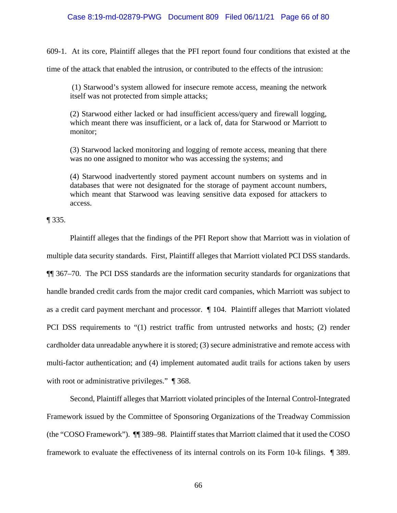# Case 8:19-md-02879-PWG Document 809 Filed 06/11/21 Page 66 of 80

609-1. At its core, Plaintiff alleges that the PFI report found four conditions that existed at the

time of the attack that enabled the intrusion, or contributed to the effects of the intrusion:

(1) Starwood's system allowed for insecure remote access, meaning the network itself was not protected from simple attacks;

(2) Starwood either lacked or had insufficient access/query and firewall logging, which meant there was insufficient, or a lack of, data for Starwood or Marriott to monitor;

(3) Starwood lacked monitoring and logging of remote access, meaning that there was no one assigned to monitor who was accessing the systems; and

(4) Starwood inadvertently stored payment account numbers on systems and in databases that were not designated for the storage of payment account numbers, which meant that Starwood was leaving sensitive data exposed for attackers to access.

¶ 335.

Plaintiff alleges that the findings of the PFI Report show that Marriott was in violation of multiple data security standards. First, Plaintiff alleges that Marriott violated PCI DSS standards. ¶¶ 367–70. The PCI DSS standards are the information security standards for organizations that handle branded credit cards from the major credit card companies, which Marriott was subject to as a credit card payment merchant and processor. ¶ 104. Plaintiff alleges that Marriott violated PCI DSS requirements to "(1) restrict traffic from untrusted networks and hosts; (2) render cardholder data unreadable anywhere it is stored; (3) secure administrative and remote access with multi-factor authentication; and (4) implement automated audit trails for actions taken by users with root or administrative privileges."  $\parallel$  368.

Second, Plaintiff alleges that Marriott violated principles of the Internal Control-Integrated Framework issued by the Committee of Sponsoring Organizations of the Treadway Commission (the "COSO Framework"). ¶¶ 389–98. Plaintiff states that Marriott claimed that it used the COSO framework to evaluate the effectiveness of its internal controls on its Form 10-k filings. ¶ 389.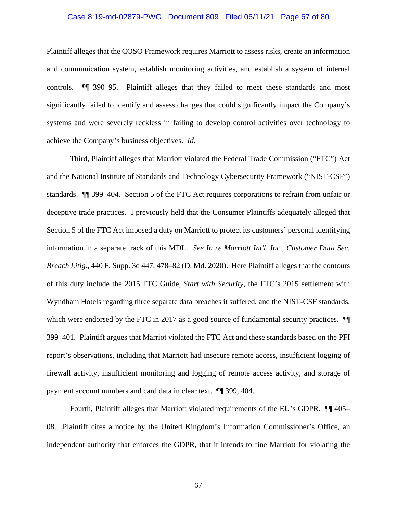# Case 8:19-md-02879-PWG Document 809 Filed 06/11/21 Page 67 of 80

Plaintiff alleges that the COSO Framework requires Marriott to assess risks, create an information and communication system, establish monitoring activities, and establish a system of internal controls. ¶¶ 390–95. Plaintiff alleges that they failed to meet these standards and most significantly failed to identify and assess changes that could significantly impact the Company's systems and were severely reckless in failing to develop control activities over technology to achieve the Company's business objectives. *Id.*

Third, Plaintiff alleges that Marriott violated the Federal Trade Commission ("FTC") Act and the National Institute of Standards and Technology Cybersecurity Framework ("NIST-CSF") standards. ¶¶ 399–404. Section 5 of the FTC Act requires corporations to refrain from unfair or deceptive trade practices. I previously held that the Consumer Plaintiffs adequately alleged that Section 5 of the FTC Act imposed a duty on Marriott to protect its customers' personal identifying information in a separate track of this MDL. *See In re Marriott Int'l, Inc., Customer Data Sec. Breach Litig.*, 440 F. Supp. 3d 447, 478–82 (D. Md. 2020). Here Plaintiff alleges that the contours of this duty include the 2015 FTC Guide, *Start with Security*, the FTC's 2015 settlement with Wyndham Hotels regarding three separate data breaches it suffered, and the NIST-CSF standards, which were endorsed by the FTC in 2017 as a good source of fundamental security practices.  $\P$ 399–401. Plaintiff argues that Marriot violated the FTC Act and these standards based on the PFI report's observations, including that Marriott had insecure remote access, insufficient logging of firewall activity, insufficient monitoring and logging of remote access activity, and storage of payment account numbers and card data in clear text. ¶¶ 399, 404.

Fourth, Plaintiff alleges that Marriott violated requirements of the EU's GDPR. ¶¶ 405– 08. Plaintiff cites a notice by the United Kingdom's Information Commissioner's Office, an independent authority that enforces the GDPR, that it intends to fine Marriott for violating the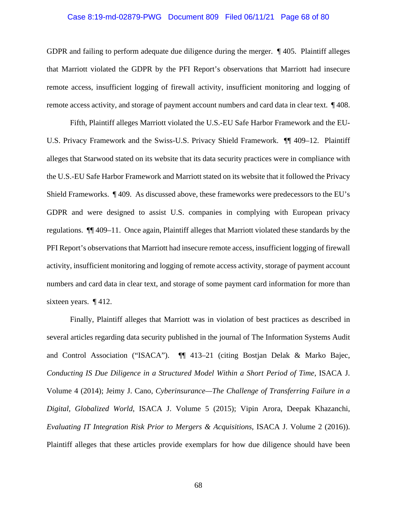# Case 8:19-md-02879-PWG Document 809 Filed 06/11/21 Page 68 of 80

GDPR and failing to perform adequate due diligence during the merger. ¶ 405. Plaintiff alleges that Marriott violated the GDPR by the PFI Report's observations that Marriott had insecure remote access, insufficient logging of firewall activity, insufficient monitoring and logging of remote access activity, and storage of payment account numbers and card data in clear text. ¶ 408.

Fifth, Plaintiff alleges Marriott violated the U.S.-EU Safe Harbor Framework and the EU-U.S. Privacy Framework and the Swiss-U.S. Privacy Shield Framework. ¶¶ 409–12. Plaintiff alleges that Starwood stated on its website that its data security practices were in compliance with the U.S.-EU Safe Harbor Framework and Marriott stated on its website that it followed the Privacy Shield Frameworks. ¶ 409. As discussed above, these frameworks were predecessors to the EU's GDPR and were designed to assist U.S. companies in complying with European privacy regulations. ¶¶ 409–11. Once again, Plaintiff alleges that Marriott violated these standards by the PFI Report's observations that Marriott had insecure remote access, insufficient logging of firewall activity, insufficient monitoring and logging of remote access activity, storage of payment account numbers and card data in clear text, and storage of some payment card information for more than sixteen years. ¶ 412.

Finally, Plaintiff alleges that Marriott was in violation of best practices as described in several articles regarding data security published in the journal of The Information Systems Audit and Control Association ("ISACA"). ¶¶ 413–21 (citing Bostjan Delak & Marko Bajec, *Conducting IS Due Diligence in a Structured Model Within a Short Period of Time*, ISACA J. Volume 4 (2014); Jeimy J. Cano, *Cyberinsurance—The Challenge of Transferring Failure in a Digital, Globalized World*, ISACA J. Volume 5 (2015); Vipin Arora, Deepak Khazanchi, *Evaluating IT Integration Risk Prior to Mergers & Acquisitions*, ISACA J. Volume 2 (2016)). Plaintiff alleges that these articles provide exemplars for how due diligence should have been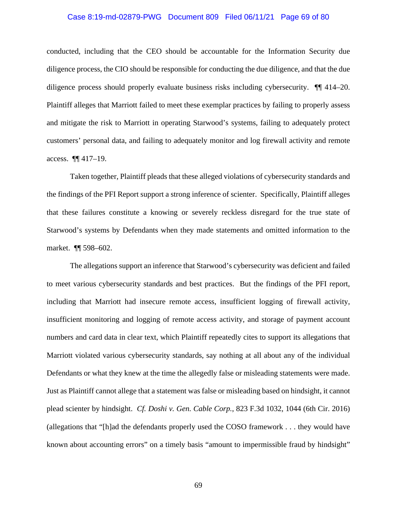# Case 8:19-md-02879-PWG Document 809 Filed 06/11/21 Page 69 of 80

conducted, including that the CEO should be accountable for the Information Security due diligence process, the CIO should be responsible for conducting the due diligence, and that the due diligence process should properly evaluate business risks including cybersecurity. ¶¶ 414–20. Plaintiff alleges that Marriott failed to meet these exemplar practices by failing to properly assess and mitigate the risk to Marriott in operating Starwood's systems, failing to adequately protect customers' personal data, and failing to adequately monitor and log firewall activity and remote access. ¶¶ 417–19.

Taken together, Plaintiff pleads that these alleged violations of cybersecurity standards and the findings of the PFI Report support a strong inference of scienter. Specifically, Plaintiff alleges that these failures constitute a knowing or severely reckless disregard for the true state of Starwood's systems by Defendants when they made statements and omitted information to the market. ¶¶ 598–602.

The allegations support an inference that Starwood's cybersecurity was deficient and failed to meet various cybersecurity standards and best practices. But the findings of the PFI report, including that Marriott had insecure remote access, insufficient logging of firewall activity, insufficient monitoring and logging of remote access activity, and storage of payment account numbers and card data in clear text, which Plaintiff repeatedly cites to support its allegations that Marriott violated various cybersecurity standards, say nothing at all about any of the individual Defendants or what they knew at the time the allegedly false or misleading statements were made. Just as Plaintiff cannot allege that a statement was false or misleading based on hindsight, it cannot plead scienter by hindsight. *Cf. Doshi v. Gen. Cable Corp.*, 823 F.3d 1032, 1044 (6th Cir. 2016) (allegations that "[h]ad the defendants properly used the COSO framework . . . they would have known about accounting errors" on a timely basis "amount to impermissible fraud by hindsight"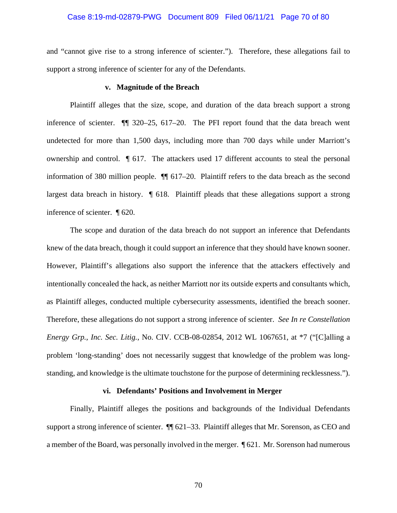# Case 8:19-md-02879-PWG Document 809 Filed 06/11/21 Page 70 of 80

and "cannot give rise to a strong inference of scienter."). Therefore, these allegations fail to support a strong inference of scienter for any of the Defendants.

## **v. Magnitude of the Breach**

Plaintiff alleges that the size, scope, and duration of the data breach support a strong inference of scienter. ¶¶ 320–25, 617–20. The PFI report found that the data breach went undetected for more than 1,500 days, including more than 700 days while under Marriott's ownership and control. ¶ 617. The attackers used 17 different accounts to steal the personal information of 380 million people. ¶¶ 617–20. Plaintiff refers to the data breach as the second largest data breach in history. ¶ 618. Plaintiff pleads that these allegations support a strong inference of scienter. ¶ 620.

The scope and duration of the data breach do not support an inference that Defendants knew of the data breach, though it could support an inference that they should have known sooner. However, Plaintiff's allegations also support the inference that the attackers effectively and intentionally concealed the hack, as neither Marriott nor its outside experts and consultants which, as Plaintiff alleges, conducted multiple cybersecurity assessments, identified the breach sooner. Therefore, these allegations do not support a strong inference of scienter. *See In re Constellation Energy Grp., Inc. Sec. Litig.*, No. CIV. CCB-08-02854, 2012 WL 1067651, at \*7 ("[C]alling a problem 'long-standing' does not necessarily suggest that knowledge of the problem was longstanding, and knowledge is the ultimate touchstone for the purpose of determining recklessness.").

#### **vi. Defendants' Positions and Involvement in Merger**

Finally, Plaintiff alleges the positions and backgrounds of the Individual Defendants support a strong inference of scienter. ¶¶ 621–33. Plaintiff alleges that Mr. Sorenson, as CEO and a member of the Board, was personally involved in the merger. ¶ 621. Mr. Sorenson had numerous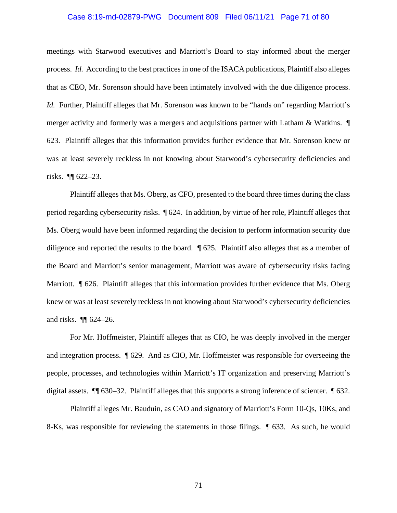# Case 8:19-md-02879-PWG Document 809 Filed 06/11/21 Page 71 of 80

meetings with Starwood executives and Marriott's Board to stay informed about the merger process. *Id.* According to the best practices in one of the ISACA publications, Plaintiff also alleges that as CEO, Mr. Sorenson should have been intimately involved with the due diligence process. *Id.* Further, Plaintiff alleges that Mr. Sorenson was known to be "hands on" regarding Marriott's merger activity and formerly was a mergers and acquisitions partner with Latham & Watkins. ¶ 623. Plaintiff alleges that this information provides further evidence that Mr. Sorenson knew or was at least severely reckless in not knowing about Starwood's cybersecurity deficiencies and risks. ¶¶ 622–23.

Plaintiff alleges that Ms. Oberg, as CFO, presented to the board three times during the class period regarding cybersecurity risks. ¶ 624. In addition, by virtue of her role, Plaintiff alleges that Ms. Oberg would have been informed regarding the decision to perform information security due diligence and reported the results to the board. ¶ 625. Plaintiff also alleges that as a member of the Board and Marriott's senior management, Marriott was aware of cybersecurity risks facing Marriott. **¶** 626. Plaintiff alleges that this information provides further evidence that Ms. Oberg knew or was at least severely reckless in not knowing about Starwood's cybersecurity deficiencies and risks. ¶¶ 624–26.

For Mr. Hoffmeister, Plaintiff alleges that as CIO, he was deeply involved in the merger and integration process. ¶ 629. And as CIO, Mr. Hoffmeister was responsible for overseeing the people, processes, and technologies within Marriott's IT organization and preserving Marriott's digital assets. ¶¶ 630–32. Plaintiff alleges that this supports a strong inference of scienter. ¶ 632.

Plaintiff alleges Mr. Bauduin, as CAO and signatory of Marriott's Form 10-Qs, 10Ks, and 8-Ks, was responsible for reviewing the statements in those filings. ¶ 633. As such, he would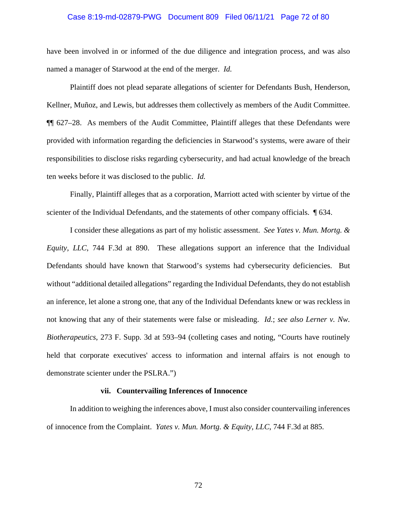# Case 8:19-md-02879-PWG Document 809 Filed 06/11/21 Page 72 of 80

have been involved in or informed of the due diligence and integration process, and was also named a manager of Starwood at the end of the merger. *Id.*

Plaintiff does not plead separate allegations of scienter for Defendants Bush, Henderson, Kellner, Muñoz, and Lewis, but addresses them collectively as members of the Audit Committee. ¶¶ 627–28. As members of the Audit Committee, Plaintiff alleges that these Defendants were provided with information regarding the deficiencies in Starwood's systems, were aware of their responsibilities to disclose risks regarding cybersecurity, and had actual knowledge of the breach ten weeks before it was disclosed to the public. *Id.*

Finally, Plaintiff alleges that as a corporation, Marriott acted with scienter by virtue of the scienter of the Individual Defendants, and the statements of other company officials. ¶ 634.

I consider these allegations as part of my holistic assessment. *See Yates v. Mun. Mortg. & Equity, LLC*, 744 F.3d at 890. These allegations support an inference that the Individual Defendants should have known that Starwood's systems had cybersecurity deficiencies. But without "additional detailed allegations" regarding the Individual Defendants, they do not establish an inference, let alone a strong one, that any of the Individual Defendants knew or was reckless in not knowing that any of their statements were false or misleading. *Id.*; *see also Lerner v. Nw. Biotherapeutics*, 273 F. Supp. 3d at 593–94 (colleting cases and noting, "Courts have routinely held that corporate executives' access to information and internal affairs is not enough to demonstrate scienter under the PSLRA.")

# **vii. Countervailing Inferences of Innocence**

In addition to weighing the inferences above, I must also consider countervailing inferences of innocence from the Complaint. *Yates v. Mun. Mortg. & Equity, LLC*, 744 F.3d at 885.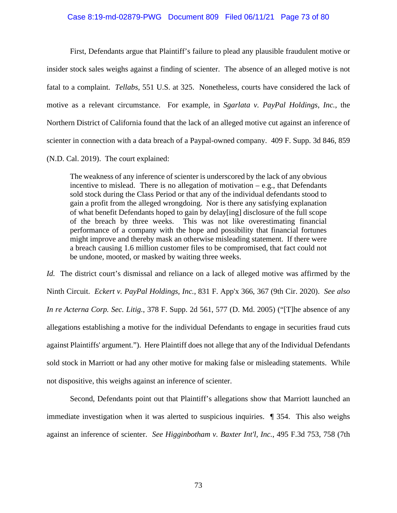### Case 8:19-md-02879-PWG Document 809 Filed 06/11/21 Page 73 of 80

First, Defendants argue that Plaintiff's failure to plead any plausible fraudulent motive or insider stock sales weighs against a finding of scienter. The absence of an alleged motive is not fatal to a complaint. *Tellabs*, 551 U.S. at 325. Nonetheless, courts have considered the lack of motive as a relevant circumstance. For example, in *Sgarlata v. PayPal Holdings, Inc.*, the Northern District of California found that the lack of an alleged motive cut against an inference of scienter in connection with a data breach of a Paypal-owned company. 409 F. Supp. 3d 846, 859 (N.D. Cal. 2019). The court explained:

The weakness of any inference of scienter is underscored by the lack of any obvious incentive to mislead. There is no allegation of motivation – e.g., that Defendants sold stock during the Class Period or that any of the individual defendants stood to gain a profit from the alleged wrongdoing. Nor is there any satisfying explanation of what benefit Defendants hoped to gain by delay[ing] disclosure of the full scope of the breach by three weeks. This was not like overestimating financial performance of a company with the hope and possibility that financial fortunes might improve and thereby mask an otherwise misleading statement. If there were a breach causing 1.6 million customer files to be compromised, that fact could not be undone, mooted, or masked by waiting three weeks.

*Id.* The district court's dismissal and reliance on a lack of alleged motive was affirmed by the Ninth Circuit. *Eckert v. PayPal Holdings, Inc.*, 831 F. App'x 366, 367 (9th Cir. 2020). *See also In re Acterna Corp. Sec. Litig.*, 378 F. Supp. 2d 561, 577 (D. Md. 2005) ("[T]he absence of any allegations establishing a motive for the individual Defendants to engage in securities fraud cuts against Plaintiffs' argument."). Here Plaintiff does not allege that any of the Individual Defendants sold stock in Marriott or had any other motive for making false or misleading statements. While not dispositive, this weighs against an inference of scienter.

Second, Defendants point out that Plaintiff's allegations show that Marriott launched an immediate investigation when it was alerted to suspicious inquiries. ¶ 354. This also weighs against an inference of scienter. *See Higginbotham v. Baxter Int'l, Inc.*, 495 F.3d 753, 758 (7th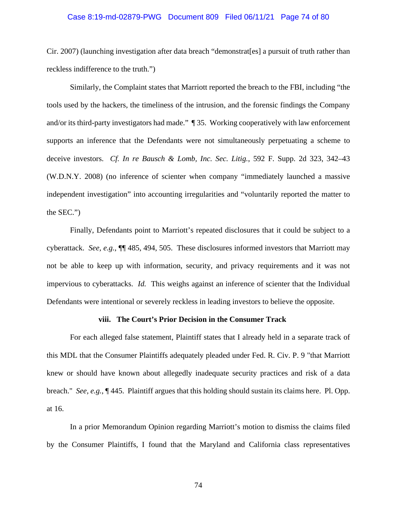#### Case 8:19-md-02879-PWG Document 809 Filed 06/11/21 Page 74 of 80

Cir. 2007) (launching investigation after data breach "demonstrat[es] a pursuit of truth rather than reckless indifference to the truth.")

Similarly, the Complaint states that Marriott reported the breach to the FBI, including "the tools used by the hackers, the timeliness of the intrusion, and the forensic findings the Company and/or its third-party investigators had made." ¶ 35. Working cooperatively with law enforcement supports an inference that the Defendants were not simultaneously perpetuating a scheme to deceive investors. *Cf. In re Bausch & Lomb, Inc. Sec. Litig.*, 592 F. Supp. 2d 323, 342–43 (W.D.N.Y. 2008) (no inference of scienter when company "immediately launched a massive independent investigation" into accounting irregularities and "voluntarily reported the matter to the SEC.")

Finally, Defendants point to Marriott's repeated disclosures that it could be subject to a cyberattack. *See, e.g.*, ¶¶ 485, 494, 505. These disclosures informed investors that Marriott may not be able to keep up with information, security, and privacy requirements and it was not impervious to cyberattacks. *Id.* This weighs against an inference of scienter that the Individual Defendants were intentional or severely reckless in leading investors to believe the opposite.

#### **viii. The Court's Prior Decision in the Consumer Track**

For each alleged false statement, Plaintiff states that I already held in a separate track of this MDL that the Consumer Plaintiffs adequately pleaded under Fed. R. Civ. P. 9 "that Marriott knew or should have known about allegedly inadequate security practices and risk of a data breach." *See, e.g.*, ¶ 445. Plaintiff argues that this holding should sustain its claims here. Pl. Opp. at 16.

In a prior Memorandum Opinion regarding Marriott's motion to dismiss the claims filed by the Consumer Plaintiffs, I found that the Maryland and California class representatives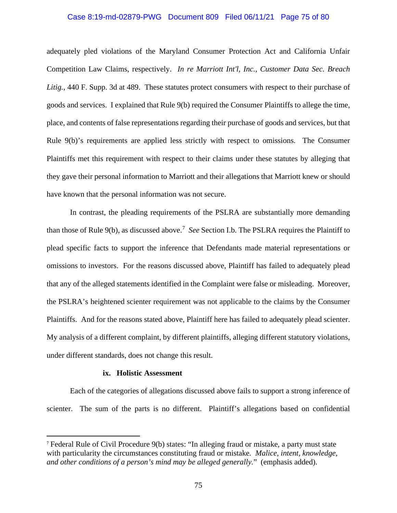#### Case 8:19-md-02879-PWG Document 809 Filed 06/11/21 Page 75 of 80

adequately pled violations of the Maryland Consumer Protection Act and California Unfair Competition Law Claims, respectively. *In re Marriott Int'l, Inc., Customer Data Sec. Breach* Litig., 440 F. Supp. 3d at 489. These statutes protect consumers with respect to their purchase of goods and services. I explained that Rule 9(b) required the Consumer Plaintiffs to allege the time, place, and contents of false representations regarding their purchase of goods and services, but that Rule 9(b)'s requirements are applied less strictly with respect to omissions. The Consumer Plaintiffs met this requirement with respect to their claims under these statutes by alleging that they gave their personal information to Marriott and their allegations that Marriott knew or should have known that the personal information was not secure.

In contrast, the pleading requirements of the PSLRA are substantially more demanding than those of Rule 9(b), as discussed above. <sup>7</sup> *See* Section I.b. The PSLRA requires the Plaintiff to plead specific facts to support the inference that Defendants made material representations or omissions to investors. For the reasons discussed above, Plaintiff has failed to adequately plead that any of the alleged statements identified in the Complaint were false or misleading. Moreover, the PSLRA's heightened scienter requirement was not applicable to the claims by the Consumer Plaintiffs. And for the reasons stated above, Plaintiff here has failed to adequately plead scienter. My analysis of a different complaint, by different plaintiffs, alleging different statutory violations, under different standards, does not change this result.

### **ix. Holistic Assessment**

Each of the categories of allegations discussed above fails to support a strong inference of scienter. The sum of the parts is no different. Plaintiff's allegations based on confidential

<sup>7</sup> Federal Rule of Civil Procedure 9(b) states: "In alleging fraud or mistake, a party must state with particularity the circumstances constituting fraud or mistake*. Malice, intent, knowledge, and other conditions of a person's mind may be alleged generally.*" (emphasis added).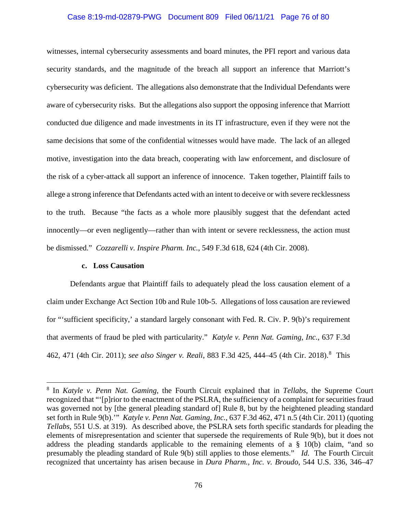## Case 8:19-md-02879-PWG Document 809 Filed 06/11/21 Page 76 of 80

witnesses, internal cybersecurity assessments and board minutes, the PFI report and various data security standards, and the magnitude of the breach all support an inference that Marriott's cybersecurity was deficient. The allegations also demonstrate that the Individual Defendants were aware of cybersecurity risks. But the allegations also support the opposing inference that Marriott conducted due diligence and made investments in its IT infrastructure, even if they were not the same decisions that some of the confidential witnesses would have made. The lack of an alleged motive, investigation into the data breach, cooperating with law enforcement, and disclosure of the risk of a cyber-attack all support an inference of innocence. Taken together, Plaintiff fails to allege a strong inference that Defendants acted with an intent to deceive or with severe recklessness to the truth. Because "the facts as a whole more plausibly suggest that the defendant acted innocently—or even negligently—rather than with intent or severe recklessness, the action must be dismissed." *Cozzarelli v. Inspire Pharm. Inc.*, 549 F.3d 618, 624 (4th Cir. 2008).

### **c. Loss Causation**

Defendants argue that Plaintiff fails to adequately plead the loss causation element of a claim under Exchange Act Section 10b and Rule 10b-5. Allegations of loss causation are reviewed for "'sufficient specificity,' a standard largely consonant with Fed. R. Civ. P. 9(b)'s requirement that averments of fraud be pled with particularity." *Katyle v. Penn Nat. Gaming, Inc.*, 637 F.3d 462, 471 (4th Cir. 2011); *see also Singer v. Reali*, 883 F.3d 425, 444–45 (4th Cir. 2018).<sup>8</sup> This

<sup>8</sup> In *Katyle v. Penn Nat. Gaming*, the Fourth Circuit explained that in *Tellabs*, the Supreme Court recognized that "'[p]rior to the enactment of the PSLRA, the sufficiency of a complaint for securities fraud was governed not by [the general pleading standard of] Rule 8, but by the heightened pleading standard set forth in Rule 9(b).'" *Katyle v. Penn Nat. Gaming, Inc.*, 637 F.3d 462, 471 n.5 (4th Cir. 2011) (quoting *Tellabs*, 551 U.S. at 319). As described above, the PSLRA sets forth specific standards for pleading the elements of misrepresentation and scienter that supersede the requirements of Rule 9(b), but it does not address the pleading standards applicable to the remaining elements of a § 10(b) claim, "and so presumably the pleading standard of Rule 9(b) still applies to those elements." *Id.* The Fourth Circuit recognized that uncertainty has arisen because in *Dura Pharm., Inc. v. Broudo*, 544 U.S. 336, 346–47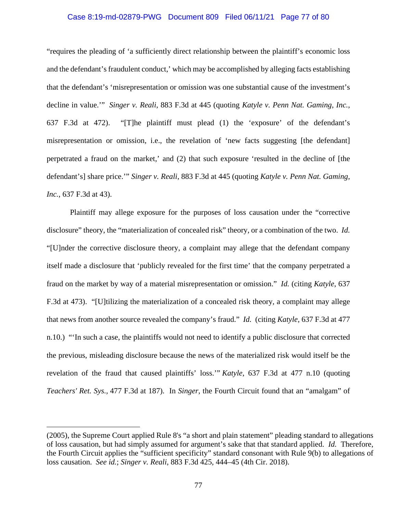### Case 8:19-md-02879-PWG Document 809 Filed 06/11/21 Page 77 of 80

"requires the pleading of 'a sufficiently direct relationship between the plaintiff's economic loss and the defendant's fraudulent conduct,' which may be accomplished by alleging facts establishing that the defendant's 'misrepresentation or omission was one substantial cause of the investment's decline in value.'" *Singer v. Reali*, 883 F.3d at 445 (quoting *Katyle v. Penn Nat. Gaming, Inc.*, 637 F.3d at 472). "[T]he plaintiff must plead (1) the 'exposure' of the defendant's misrepresentation or omission, i.e., the revelation of 'new facts suggesting [the defendant] perpetrated a fraud on the market,' and (2) that such exposure 'resulted in the decline of [the defendant's] share price.'" *Singer v. Reali*, 883 F.3d at 445 (quoting *Katyle v. Penn Nat. Gaming, Inc.*, 637 F.3d at 43).

Plaintiff may allege exposure for the purposes of loss causation under the "corrective disclosure" theory, the "materialization of concealed risk" theory, or a combination of the two. *Id.* "[U]nder the corrective disclosure theory, a complaint may allege that the defendant company itself made a disclosure that 'publicly revealed for the first time' that the company perpetrated a fraud on the market by way of a material misrepresentation or omission." *Id.* (citing *Katyle*, 637 F.3d at 473). "[U]tilizing the materialization of a concealed risk theory, a complaint may allege that news from another source revealed the company's fraud." *Id.* (citing *Katyle*, 637 F.3d at 477 n.10.) "'In such a case, the plaintiffs would not need to identify a public disclosure that corrected the previous, misleading disclosure because the news of the materialized risk would itself be the revelation of the fraud that caused plaintiffs' loss.'" *Katyle*, 637 F.3d at 477 n.10 (quoting *Teachers' Ret. Sys.,* 477 F.3d at 187). In *Singer*, the Fourth Circuit found that an "amalgam" of

<sup>(2005),</sup> the Supreme Court applied Rule 8's "a short and plain statement" pleading standard to allegations of loss causation, but had simply assumed for argument's sake that that standard applied. *Id.* Therefore, the Fourth Circuit applies the "sufficient specificity" standard consonant with Rule 9(b) to allegations of loss causation. *See id.*; *Singer v. Reali*, 883 F.3d 425, 444–45 (4th Cir. 2018).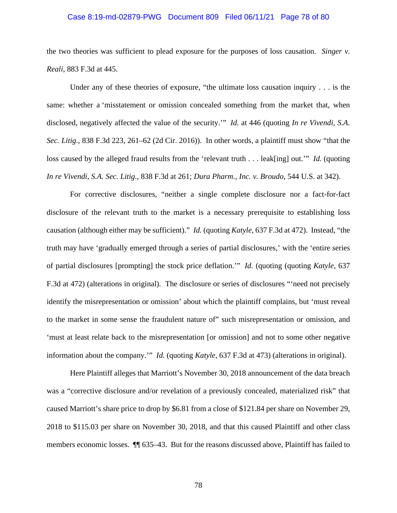#### Case 8:19-md-02879-PWG Document 809 Filed 06/11/21 Page 78 of 80

the two theories was sufficient to plead exposure for the purposes of loss causation. *Singer v. Reali*, 883 F.3d at 445.

Under any of these theories of exposure, "the ultimate loss causation inquiry . . . is the same: whether a 'misstatement or omission concealed something from the market that, when disclosed, negatively affected the value of the security.'" *Id.* at 446 (quoting *In re Vivendi, S.A. Sec. Litig.*, 838 F.3d 223, 261–62 (2d Cir. 2016)). In other words, a plaintiff must show "that the loss caused by the alleged fraud results from the 'relevant truth . . . leak[ing] out.'" *Id.* (quoting *In re Vivendi, S.A. Sec. Litig.*, 838 F.3d at 261; *Dura Pharm., Inc. v. Broudo*, 544 U.S. at 342).

For corrective disclosures, "neither a single complete disclosure nor a fact-for-fact disclosure of the relevant truth to the market is a necessary prerequisite to establishing loss causation (although either may be sufficient)." *Id.* (quoting *Katyle*, 637 F.3d at 472). Instead, "the truth may have 'gradually emerged through a series of partial disclosures,' with the 'entire series of partial disclosures [prompting] the stock price deflation.'" *Id.* (quoting (quoting *Katyle*, 637 F.3d at 472) (alterations in original). The disclosure or series of disclosures "'need not precisely identify the misrepresentation or omission' about which the plaintiff complains, but 'must reveal to the market in some sense the fraudulent nature of" such misrepresentation or omission, and 'must at least relate back to the misrepresentation [or omission] and not to some other negative information about the company.'" *Id.* (quoting *Katyle*, 637 F.3d at 473) (alterations in original).

Here Plaintiff alleges that Marriott's November 30, 2018 announcement of the data breach was a "corrective disclosure and/or revelation of a previously concealed, materialized risk" that caused Marriott's share price to drop by \$6.81 from a close of \$121.84 per share on November 29, 2018 to \$115.03 per share on November 30, 2018, and that this caused Plaintiff and other class members economic losses. ¶¶ 635–43. But for the reasons discussed above, Plaintiff has failed to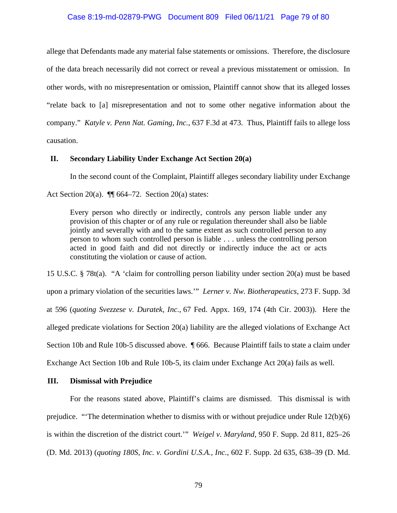### Case 8:19-md-02879-PWG Document 809 Filed 06/11/21 Page 79 of 80

allege that Defendants made any material false statements or omissions. Therefore, the disclosure of the data breach necessarily did not correct or reveal a previous misstatement or omission. In other words, with no misrepresentation or omission, Plaintiff cannot show that its alleged losses "relate back to [a] misrepresentation and not to some other negative information about the company." *Katyle v. Penn Nat. Gaming, Inc.*, 637 F.3d at 473. Thus, Plaintiff fails to allege loss causation.

#### **II. Secondary Liability Under Exchange Act Section 20(a)**

In the second count of the Complaint, Plaintiff alleges secondary liability under Exchange Act Section 20(a).  $\P$  664–72. Section 20(a) states:

Every person who directly or indirectly, controls any person liable under any provision of this chapter or of any rule or regulation thereunder shall also be liable jointly and severally with and to the same extent as such controlled person to any person to whom such controlled person is liable . . . unless the controlling person acted in good faith and did not directly or indirectly induce the act or acts constituting the violation or cause of action.

15 U.S.C. § 78t(a). "A 'claim for controlling person liability under section 20(a) must be based upon a primary violation of the securities laws.'" *Lerner v. Nw. Biotherapeutics*, 273 F. Supp. 3d at 596 (*quoting Svezzese v. Duratek, Inc.*, 67 Fed. Appx. 169, 174 (4th Cir. 2003)). Here the alleged predicate violations for Section 20(a) liability are the alleged violations of Exchange Act Section 10b and Rule 10b-5 discussed above. ¶ 666. Because Plaintiff fails to state a claim under Exchange Act Section 10b and Rule 10b-5, its claim under Exchange Act 20(a) fails as well.

### **III. Dismissal with Prejudice**

For the reasons stated above, Plaintiff's claims are dismissed. This dismissal is with prejudice. "'The determination whether to dismiss with or without prejudice under Rule 12(b)(6) is within the discretion of the district court.'" *Weigel v. Maryland*, 950 F. Supp. 2d 811, 825–26 (D. Md. 2013) (*quoting 180S, Inc. v. Gordini U.S.A., Inc.*, 602 F. Supp. 2d 635, 638–39 (D. Md.